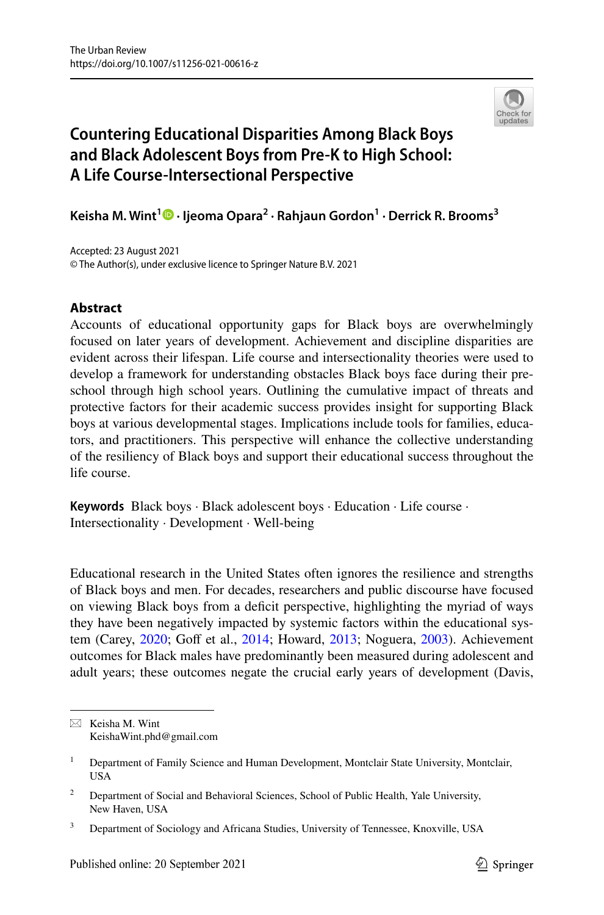

# **Countering Educational Disparities Among Black Boys and Black Adolescent Boys from Pre‑K to High School: A Life Course‑Intersectional Perspective**

**Keisha M. Wint<sup>1</sup>  [·](http://orcid.org/0000-0002-6616-6949) Ijeoma Opara2 · Rahjaun Gordon<sup>1</sup> · Derrick R. Brooms3**

Accepted: 23 August 2021 © The Author(s), under exclusive licence to Springer Nature B.V. 2021

# **Abstract**

Accounts of educational opportunity gaps for Black boys are overwhelmingly focused on later years of development. Achievement and discipline disparities are evident across their lifespan. Life course and intersectionality theories were used to develop a framework for understanding obstacles Black boys face during their preschool through high school years. Outlining the cumulative impact of threats and protective factors for their academic success provides insight for supporting Black boys at various developmental stages. Implications include tools for families, educators, and practitioners. This perspective will enhance the collective understanding of the resiliency of Black boys and support their educational success throughout the life course.

**Keywords** Black boys · Black adolescent boys · Education · Life course · Intersectionality · Development · Well-being

Educational research in the United States often ignores the resilience and strengths of Black boys and men. For decades, researchers and public discourse have focused on viewing Black boys from a defcit perspective, highlighting the myriad of ways they have been negatively impacted by systemic factors within the educational sys-tem (Carey, [2020;](#page-19-0) Goff et al., [2014](#page-20-0); Howard, [2013;](#page-21-0) Noguera, [2003](#page-22-0)). Achievement outcomes for Black males have predominantly been measured during adolescent and adult years; these outcomes negate the crucial early years of development (Davis,

 $\boxtimes$  Keisha M. Wint KeishaWint.phd@gmail.com

<sup>&</sup>lt;sup>1</sup> Department of Family Science and Human Development, Montclair State University, Montclair, USA

<sup>&</sup>lt;sup>2</sup> Department of Social and Behavioral Sciences, School of Public Health, Yale University, New Haven, USA

<sup>&</sup>lt;sup>3</sup> Department of Sociology and Africana Studies, University of Tennessee, Knoxville, USA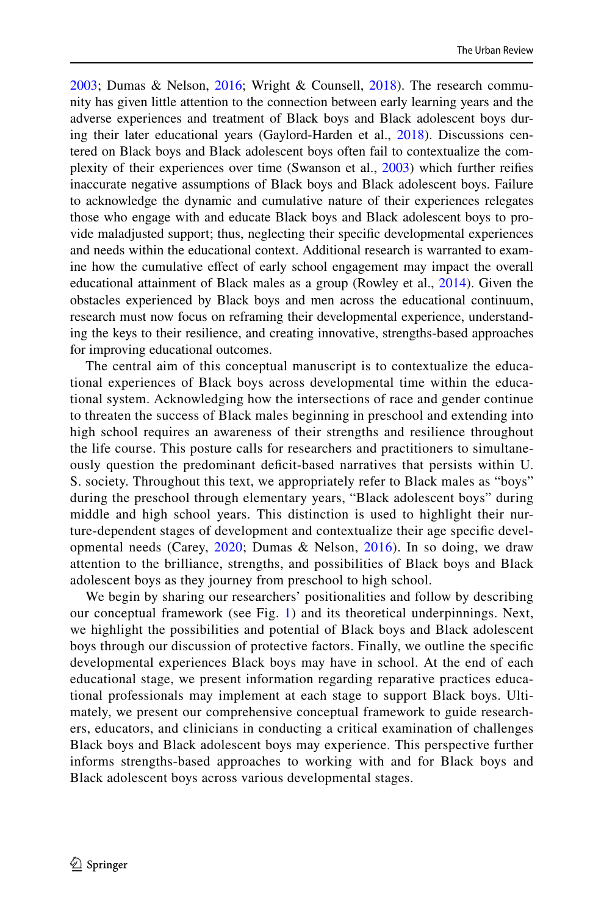[2003](#page-20-1); Dumas & Nelson, [2016](#page-20-2); Wright & Counsell, [2018\)](#page-23-0). The research community has given little attention to the connection between early learning years and the adverse experiences and treatment of Black boys and Black adolescent boys during their later educational years (Gaylord-Harden et al., [2018\)](#page-20-3). Discussions centered on Black boys and Black adolescent boys often fail to contextualize the complexity of their experiences over time (Swanson et al., [2003](#page-23-1)) which further reifes inaccurate negative assumptions of Black boys and Black adolescent boys. Failure to acknowledge the dynamic and cumulative nature of their experiences relegates those who engage with and educate Black boys and Black adolescent boys to provide maladjusted support; thus, neglecting their specifc developmental experiences and needs within the educational context. Additional research is warranted to examine how the cumulative efect of early school engagement may impact the overall educational attainment of Black males as a group (Rowley et al., [2014](#page-22-1)). Given the obstacles experienced by Black boys and men across the educational continuum, research must now focus on reframing their developmental experience, understanding the keys to their resilience, and creating innovative, strengths-based approaches for improving educational outcomes.

The central aim of this conceptual manuscript is to contextualize the educational experiences of Black boys across developmental time within the educational system. Acknowledging how the intersections of race and gender continue to threaten the success of Black males beginning in preschool and extending into high school requires an awareness of their strengths and resilience throughout the life course. This posture calls for researchers and practitioners to simultaneously question the predominant defcit-based narratives that persists within U. S. society. Throughout this text, we appropriately refer to Black males as "boys" during the preschool through elementary years, "Black adolescent boys" during middle and high school years. This distinction is used to highlight their nurture-dependent stages of development and contextualize their age specifc developmental needs (Carey, [2020;](#page-19-0) Dumas & Nelson, [2016\)](#page-20-2). In so doing, we draw attention to the brilliance, strengths, and possibilities of Black boys and Black adolescent boys as they journey from preschool to high school.

We begin by sharing our researchers' positionalities and follow by describing our conceptual framework (see Fig. [1](#page-2-0)) and its theoretical underpinnings. Next, we highlight the possibilities and potential of Black boys and Black adolescent boys through our discussion of protective factors. Finally, we outline the specifc developmental experiences Black boys may have in school. At the end of each educational stage, we present information regarding reparative practices educational professionals may implement at each stage to support Black boys. Ultimately, we present our comprehensive conceptual framework to guide researchers, educators, and clinicians in conducting a critical examination of challenges Black boys and Black adolescent boys may experience. This perspective further informs strengths-based approaches to working with and for Black boys and Black adolescent boys across various developmental stages.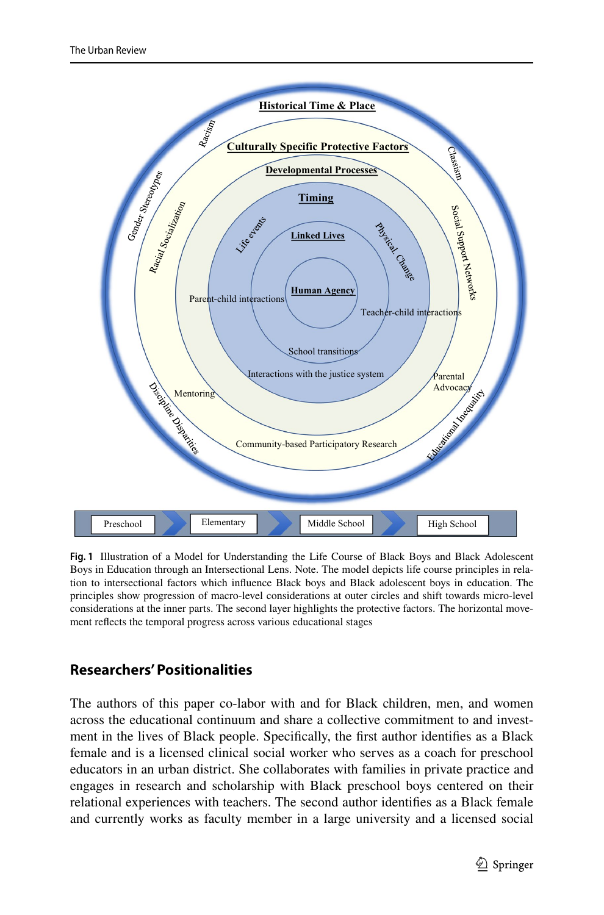

<span id="page-2-0"></span>**Fig. 1** Illustration of a Model for Understanding the Life Course of Black Boys and Black Adolescent Boys in Education through an Intersectional Lens. Note. The model depicts life course principles in relation to intersectional factors which infuence Black boys and Black adolescent boys in education. The principles show progression of macro-level considerations at outer circles and shift towards micro-level considerations at the inner parts. The second layer highlights the protective factors. The horizontal movement refects the temporal progress across various educational stages

# **Researchers' Positionalities**

The authors of this paper co-labor with and for Black children, men, and women across the educational continuum and share a collective commitment to and investment in the lives of Black people. Specifcally, the frst author identifes as a Black female and is a licensed clinical social worker who serves as a coach for preschool educators in an urban district. She collaborates with families in private practice and engages in research and scholarship with Black preschool boys centered on their relational experiences with teachers. The second author identifes as a Black female and currently works as faculty member in a large university and a licensed social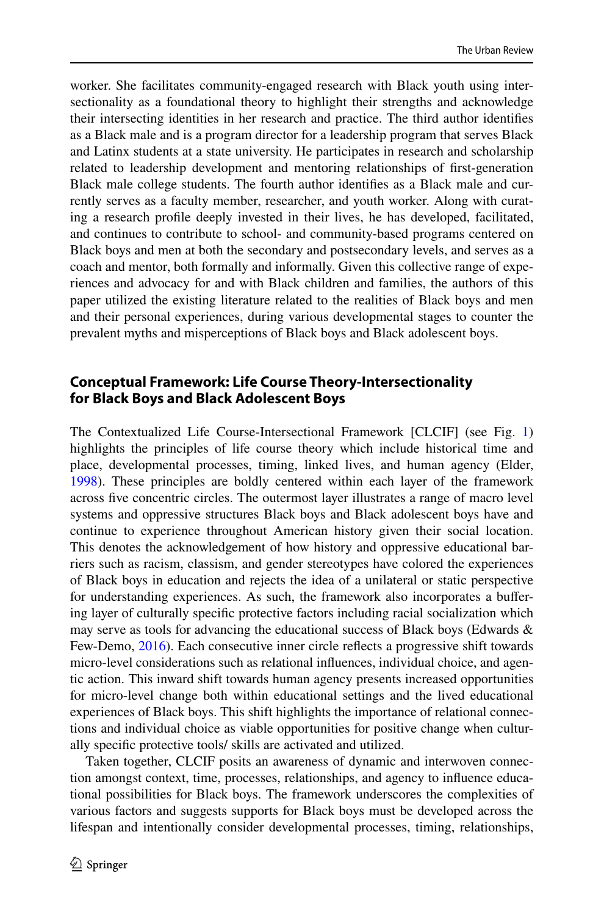worker. She facilitates community-engaged research with Black youth using intersectionality as a foundational theory to highlight their strengths and acknowledge their intersecting identities in her research and practice. The third author identifes as a Black male and is a program director for a leadership program that serves Black and Latinx students at a state university. He participates in research and scholarship related to leadership development and mentoring relationships of frst-generation Black male college students. The fourth author identifes as a Black male and currently serves as a faculty member, researcher, and youth worker. Along with curating a research profle deeply invested in their lives, he has developed, facilitated, and continues to contribute to school- and community-based programs centered on Black boys and men at both the secondary and postsecondary levels, and serves as a coach and mentor, both formally and informally. Given this collective range of experiences and advocacy for and with Black children and families, the authors of this paper utilized the existing literature related to the realities of Black boys and men and their personal experiences, during various developmental stages to counter the prevalent myths and misperceptions of Black boys and Black adolescent boys.

# **Conceptual Framework: Life Course Theory‑Intersectionality for Black Boys and Black Adolescent Boys**

The Contextualized Life Course-Intersectional Framework [CLCIF] (see Fig. [1](#page-2-0)) highlights the principles of life course theory which include historical time and place, developmental processes, timing, linked lives, and human agency (Elder, [1998](#page-20-4)). These principles are boldly centered within each layer of the framework across fve concentric circles. The outermost layer illustrates a range of macro level systems and oppressive structures Black boys and Black adolescent boys have and continue to experience throughout American history given their social location. This denotes the acknowledgement of how history and oppressive educational barriers such as racism, classism, and gender stereotypes have colored the experiences of Black boys in education and rejects the idea of a unilateral or static perspective for understanding experiences. As such, the framework also incorporates a bufering layer of culturally specifc protective factors including racial socialization which may serve as tools for advancing the educational success of Black boys (Edwards  $\&$ Few-Demo, [2016\)](#page-20-5). Each consecutive inner circle refects a progressive shift towards micro-level considerations such as relational infuences, individual choice, and agentic action. This inward shift towards human agency presents increased opportunities for micro-level change both within educational settings and the lived educational experiences of Black boys. This shift highlights the importance of relational connections and individual choice as viable opportunities for positive change when culturally specifc protective tools/ skills are activated and utilized.

Taken together, CLCIF posits an awareness of dynamic and interwoven connection amongst context, time, processes, relationships, and agency to infuence educational possibilities for Black boys. The framework underscores the complexities of various factors and suggests supports for Black boys must be developed across the lifespan and intentionally consider developmental processes, timing, relationships,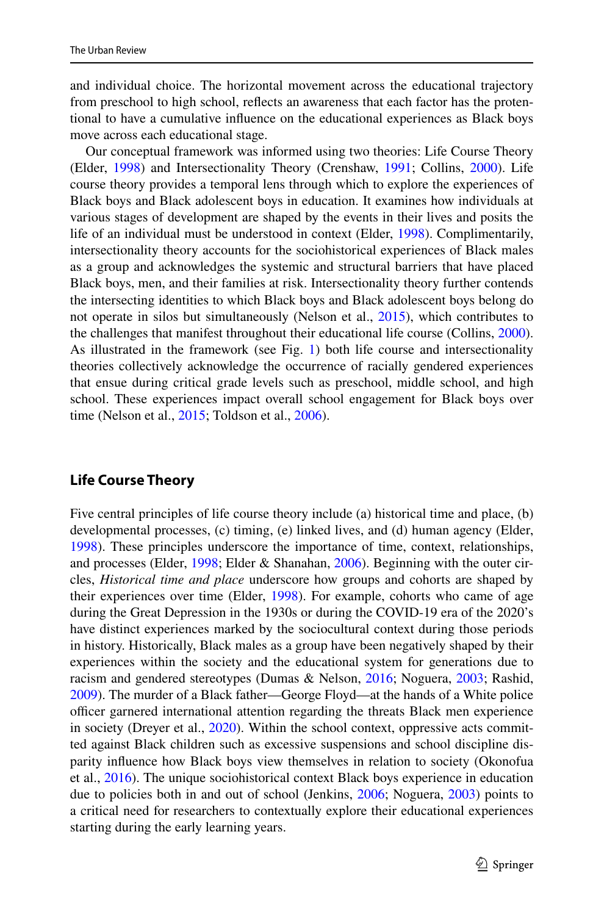and individual choice. The horizontal movement across the educational trajectory from preschool to high school, refects an awareness that each factor has the protentional to have a cumulative infuence on the educational experiences as Black boys move across each educational stage.

Our conceptual framework was informed using two theories: Life Course Theory (Elder, [1998](#page-20-4)) and Intersectionality Theory (Crenshaw, [1991;](#page-20-6) Collins, [2000](#page-19-1)). Life course theory provides a temporal lens through which to explore the experiences of Black boys and Black adolescent boys in education. It examines how individuals at various stages of development are shaped by the events in their lives and posits the life of an individual must be understood in context (Elder, [1998](#page-20-4)). Complimentarily, intersectionality theory accounts for the sociohistorical experiences of Black males as a group and acknowledges the systemic and structural barriers that have placed Black boys, men, and their families at risk. Intersectionality theory further contends the intersecting identities to which Black boys and Black adolescent boys belong do not operate in silos but simultaneously (Nelson et al., [2015](#page-22-2)), which contributes to the challenges that manifest throughout their educational life course (Collins, [2000\)](#page-19-1). As illustrated in the framework (see Fig. [1\)](#page-2-0) both life course and intersectionality theories collectively acknowledge the occurrence of racially gendered experiences that ensue during critical grade levels such as preschool, middle school, and high school. These experiences impact overall school engagement for Black boys over time (Nelson et al., [2015;](#page-22-2) Toldson et al., [2006](#page-23-2)).

### **Life Course Theory**

Five central principles of life course theory include (a) historical time and place, (b) developmental processes, (c) timing, (e) linked lives, and (d) human agency (Elder, [1998](#page-20-4)). These principles underscore the importance of time, context, relationships, and processes (Elder, [1998;](#page-20-4) Elder & Shanahan, [2006](#page-20-7)). Beginning with the outer circles, *Historical time and place* underscore how groups and cohorts are shaped by their experiences over time (Elder, [1998](#page-20-4)). For example, cohorts who came of age during the Great Depression in the 1930s or during the COVID-19 era of the 2020's have distinct experiences marked by the sociocultural context during those periods in history. Historically, Black males as a group have been negatively shaped by their experiences within the society and the educational system for generations due to racism and gendered stereotypes (Dumas & Nelson, [2016](#page-20-2); Noguera, [2003](#page-22-0); Rashid, [2009](#page-22-3)). The murder of a Black father—George Floyd—at the hands of a White police officer garnered international attention regarding the threats Black men experience in society (Dreyer et al., [2020\)](#page-20-8). Within the school context, oppressive acts committed against Black children such as excessive suspensions and school discipline disparity infuence how Black boys view themselves in relation to society (Okonofua et al., [2016\)](#page-22-4). The unique sociohistorical context Black boys experience in education due to policies both in and out of school (Jenkins, [2006](#page-21-1); Noguera, [2003](#page-22-0)) points to a critical need for researchers to contextually explore their educational experiences starting during the early learning years.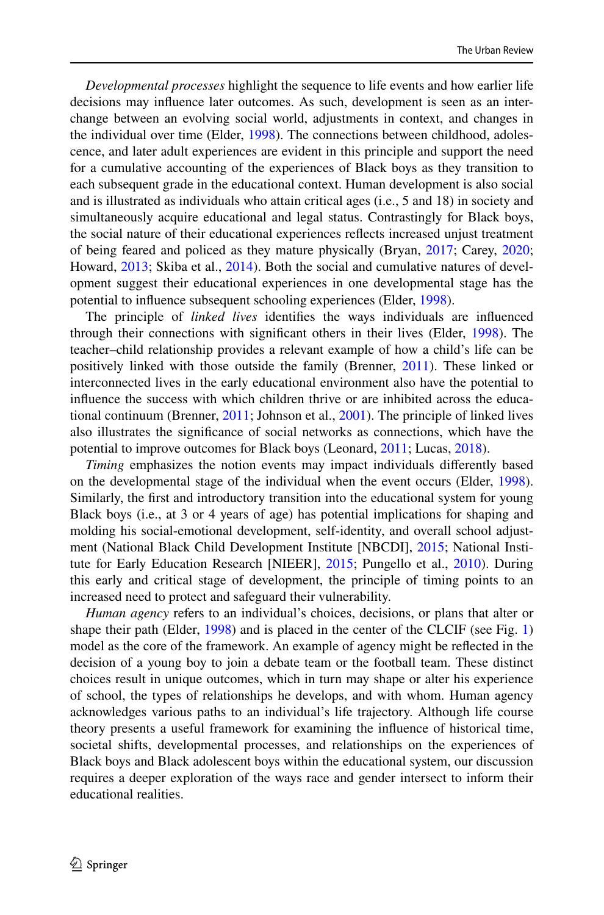*Developmental processes* highlight the sequence to life events and how earlier life decisions may infuence later outcomes. As such, development is seen as an interchange between an evolving social world, adjustments in context, and changes in the individual over time (Elder, [1998\)](#page-20-4). The connections between childhood, adolescence, and later adult experiences are evident in this principle and support the need for a cumulative accounting of the experiences of Black boys as they transition to each subsequent grade in the educational context. Human development is also social and is illustrated as individuals who attain critical ages (i.e., 5 and 18) in society and simultaneously acquire educational and legal status. Contrastingly for Black boys, the social nature of their educational experiences refects increased unjust treatment of being feared and policed as they mature physically (Bryan, [2017;](#page-19-2) Carey, [2020;](#page-19-0) Howard, [2013](#page-21-0); Skiba et al., [2014](#page-23-3)). Both the social and cumulative natures of development suggest their educational experiences in one developmental stage has the potential to infuence subsequent schooling experiences (Elder, [1998](#page-20-4)).

The principle of *linked lives* identifes the ways individuals are infuenced through their connections with signifcant others in their lives (Elder, [1998](#page-20-4)). The teacher–child relationship provides a relevant example of how a child's life can be positively linked with those outside the family (Brenner, [2011\)](#page-19-3). These linked or interconnected lives in the early educational environment also have the potential to infuence the success with which children thrive or are inhibited across the educational continuum (Brenner, [2011;](#page-19-3) Johnson et al., [2001\)](#page-21-2). The principle of linked lives also illustrates the signifcance of social networks as connections, which have the potential to improve outcomes for Black boys (Leonard, [2011;](#page-21-3) Lucas, [2018](#page-21-4)).

*Timing* emphasizes the notion events may impact individuals diferently based on the developmental stage of the individual when the event occurs (Elder, [1998\)](#page-20-4). Similarly, the frst and introductory transition into the educational system for young Black boys (i.e., at 3 or 4 years of age) has potential implications for shaping and molding his social-emotional development, self-identity, and overall school adjustment (National Black Child Development Institute [NBCDI], [2015;](#page-22-5) National Institute for Early Education Research [NIEER], [2015](#page-22-6); Pungello et al., [2010](#page-22-7)). During this early and critical stage of development, the principle of timing points to an increased need to protect and safeguard their vulnerability.

*Human agency* refers to an individual's choices, decisions, or plans that alter or shape their path (Elder, [1998\)](#page-20-4) and is placed in the center of the CLCIF (see Fig. [1](#page-2-0)) model as the core of the framework. An example of agency might be refected in the decision of a young boy to join a debate team or the football team. These distinct choices result in unique outcomes, which in turn may shape or alter his experience of school, the types of relationships he develops, and with whom. Human agency acknowledges various paths to an individual's life trajectory. Although life course theory presents a useful framework for examining the infuence of historical time, societal shifts, developmental processes, and relationships on the experiences of Black boys and Black adolescent boys within the educational system, our discussion requires a deeper exploration of the ways race and gender intersect to inform their educational realities.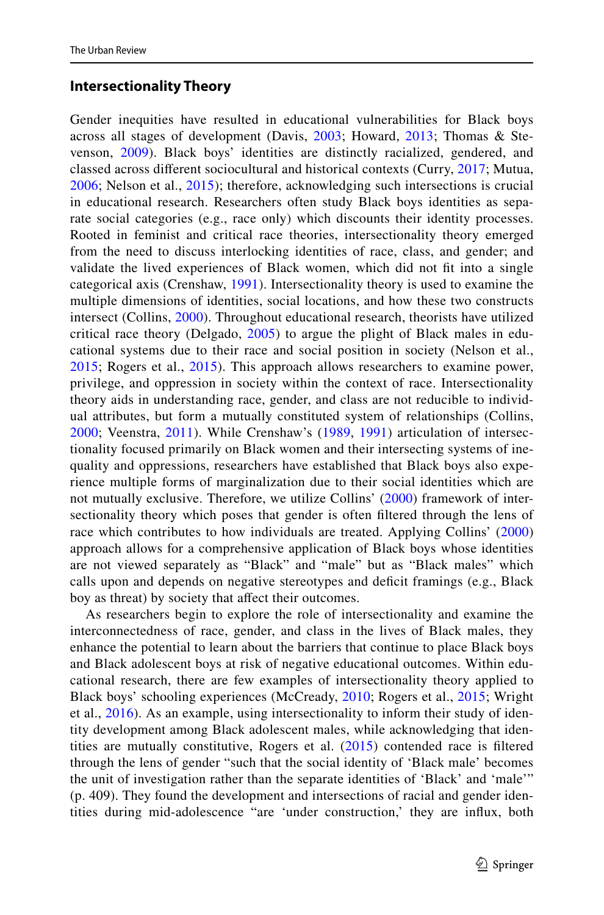### **Intersectionality Theory**

Gender inequities have resulted in educational vulnerabilities for Black boys across all stages of development (Davis, [2003;](#page-20-1) Howard, [2013;](#page-21-0) Thomas & Stevenson, [2009](#page-23-4)). Black boys' identities are distinctly racialized, gendered, and classed across diferent sociocultural and historical contexts (Curry, [2017;](#page-20-9) Mutua, [2006;](#page-22-8) Nelson et al., [2015](#page-22-2)); therefore, acknowledging such intersections is crucial in educational research. Researchers often study Black boys identities as separate social categories (e.g., race only) which discounts their identity processes. Rooted in feminist and critical race theories, intersectionality theory emerged from the need to discuss interlocking identities of race, class, and gender; and validate the lived experiences of Black women, which did not ft into a single categorical axis (Crenshaw, [1991](#page-20-6)). Intersectionality theory is used to examine the multiple dimensions of identities, social locations, and how these two constructs intersect (Collins, [2000](#page-19-1)). Throughout educational research, theorists have utilized critical race theory (Delgado, [2005](#page-20-10)) to argue the plight of Black males in educational systems due to their race and social position in society (Nelson et al., [2015;](#page-22-2) Rogers et al., [2015](#page-22-9)). This approach allows researchers to examine power, privilege, and oppression in society within the context of race. Intersectionality theory aids in understanding race, gender, and class are not reducible to individual attributes, but form a mutually constituted system of relationships (Collins, [2000;](#page-19-1) Veenstra, [2011](#page-23-5)). While Crenshaw's ([1989](#page-20-11), [1991](#page-20-6)) articulation of intersectionality focused primarily on Black women and their intersecting systems of inequality and oppressions, researchers have established that Black boys also experience multiple forms of marginalization due to their social identities which are not mutually exclusive. Therefore, we utilize Collins' ([2000\)](#page-19-1) framework of intersectionality theory which poses that gender is often fltered through the lens of race which contributes to how individuals are treated. Applying Collins' [\(2000](#page-19-1)) approach allows for a comprehensive application of Black boys whose identities are not viewed separately as "Black" and "male" but as "Black males" which calls upon and depends on negative stereotypes and deficit framings (e.g., Black boy as threat) by society that affect their outcomes.

As researchers begin to explore the role of intersectionality and examine the interconnectedness of race, gender, and class in the lives of Black males, they enhance the potential to learn about the barriers that continue to place Black boys and Black adolescent boys at risk of negative educational outcomes. Within educational research, there are few examples of intersectionality theory applied to Black boys' schooling experiences (McCready, [2010;](#page-22-10) Rogers et al., [2015;](#page-22-9) Wright et al., [2016](#page-23-6)). As an example, using intersectionality to inform their study of identity development among Black adolescent males, while acknowledging that identities are mutually constitutive, Rogers et al. [\(2015\)](#page-22-9) contended race is fltered through the lens of gender "such that the social identity of 'Black male' becomes the unit of investigation rather than the separate identities of 'Black' and 'male'" (p. 409). They found the development and intersections of racial and gender identities during mid-adolescence "are 'under construction,' they are infux, both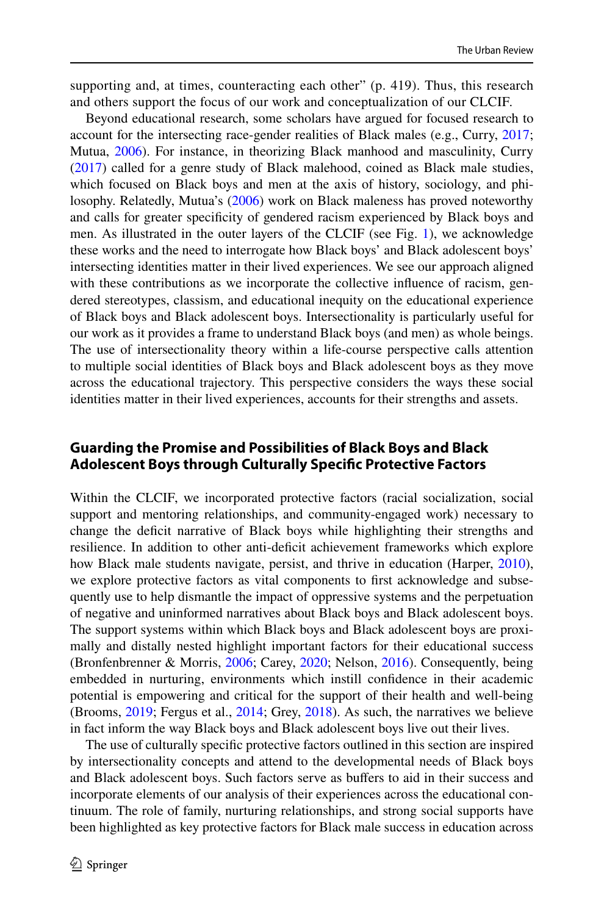supporting and, at times, counteracting each other" (p. 419). Thus, this research and others support the focus of our work and conceptualization of our CLCIF.

Beyond educational research, some scholars have argued for focused research to account for the intersecting race-gender realities of Black males (e.g., Curry, [2017;](#page-20-9) Mutua, [2006](#page-22-8)). For instance, in theorizing Black manhood and masculinity, Curry [\(2017](#page-20-9)) called for a genre study of Black malehood, coined as Black male studies, which focused on Black boys and men at the axis of history, sociology, and philosophy. Relatedly, Mutua's ([2006\)](#page-22-8) work on Black maleness has proved noteworthy and calls for greater specifcity of gendered racism experienced by Black boys and men. As illustrated in the outer layers of the CLCIF (see Fig. [1](#page-2-0)), we acknowledge these works and the need to interrogate how Black boys' and Black adolescent boys' intersecting identities matter in their lived experiences. We see our approach aligned with these contributions as we incorporate the collective infuence of racism, gendered stereotypes, classism, and educational inequity on the educational experience of Black boys and Black adolescent boys. Intersectionality is particularly useful for our work as it provides a frame to understand Black boys (and men) as whole beings. The use of intersectionality theory within a life-course perspective calls attention to multiple social identities of Black boys and Black adolescent boys as they move across the educational trajectory. This perspective considers the ways these social identities matter in their lived experiences, accounts for their strengths and assets.

# **Guarding the Promise and Possibilities of Black Boys and Black Adolescent Boys through Culturally Specifc Protective Factors**

Within the CLCIF, we incorporated protective factors (racial socialization, social support and mentoring relationships, and community-engaged work) necessary to change the defcit narrative of Black boys while highlighting their strengths and resilience. In addition to other anti-defcit achievement frameworks which explore how Black male students navigate, persist, and thrive in education (Harper, [2010\)](#page-21-5), we explore protective factors as vital components to frst acknowledge and subsequently use to help dismantle the impact of oppressive systems and the perpetuation of negative and uninformed narratives about Black boys and Black adolescent boys. The support systems within which Black boys and Black adolescent boys are proximally and distally nested highlight important factors for their educational success (Bronfenbrenner & Morris, [2006](#page-19-4); Carey, [2020](#page-19-0); Nelson, [2016\)](#page-22-11). Consequently, being embedded in nurturing, environments which instill confdence in their academic potential is empowering and critical for the support of their health and well-being (Brooms, [2019](#page-19-5); Fergus et al., [2014;](#page-20-12) Grey, [2018](#page-21-6)). As such, the narratives we believe in fact inform the way Black boys and Black adolescent boys live out their lives.

The use of culturally specifc protective factors outlined in this section are inspired by intersectionality concepts and attend to the developmental needs of Black boys and Black adolescent boys. Such factors serve as bufers to aid in their success and incorporate elements of our analysis of their experiences across the educational continuum. The role of family, nurturing relationships, and strong social supports have been highlighted as key protective factors for Black male success in education across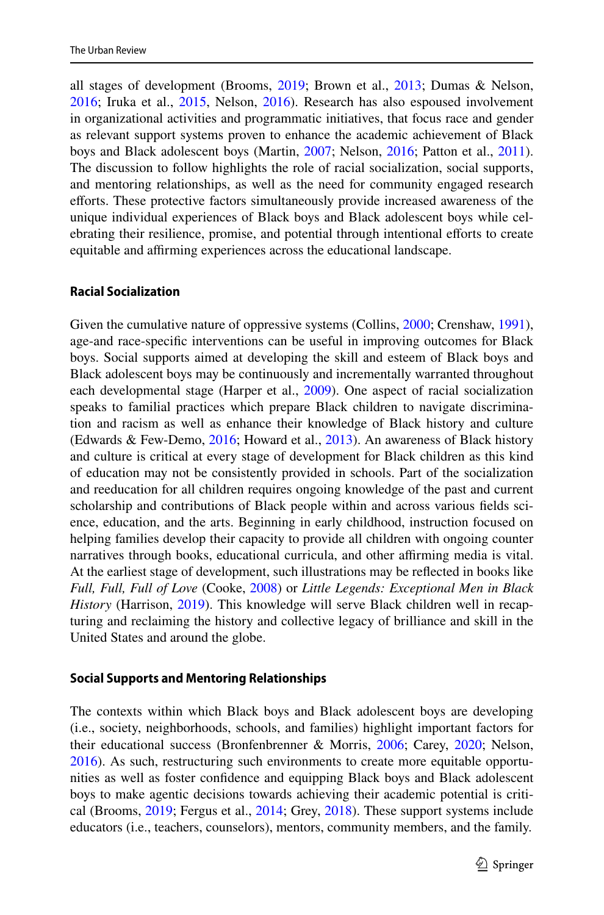all stages of development (Brooms, [2019](#page-19-5); Brown et al., [2013;](#page-19-6) Dumas & Nelson, [2016](#page-20-2); Iruka et al., [2015](#page-21-7), Nelson, [2016](#page-22-11)). Research has also espoused involvement in organizational activities and programmatic initiatives, that focus race and gender as relevant support systems proven to enhance the academic achievement of Black boys and Black adolescent boys (Martin, [2007](#page-22-12); Nelson, [2016;](#page-22-11) Patton et al., [2011\)](#page-22-13). The discussion to follow highlights the role of racial socialization, social supports, and mentoring relationships, as well as the need for community engaged research eforts. These protective factors simultaneously provide increased awareness of the unique individual experiences of Black boys and Black adolescent boys while celebrating their resilience, promise, and potential through intentional efforts to create equitable and affirming experiences across the educational landscape.

#### **Racial Socialization**

Given the cumulative nature of oppressive systems (Collins, [2000](#page-19-1); Crenshaw, [1991\)](#page-20-6), age-and race-specifc interventions can be useful in improving outcomes for Black boys. Social supports aimed at developing the skill and esteem of Black boys and Black adolescent boys may be continuously and incrementally warranted throughout each developmental stage (Harper et al., [2009](#page-21-8)). One aspect of racial socialization speaks to familial practices which prepare Black children to navigate discrimination and racism as well as enhance their knowledge of Black history and culture (Edwards & Few-Demo, [2016](#page-20-5); Howard et al., [2013\)](#page-21-9). An awareness of Black history and culture is critical at every stage of development for Black children as this kind of education may not be consistently provided in schools. Part of the socialization and reeducation for all children requires ongoing knowledge of the past and current scholarship and contributions of Black people within and across various felds science, education, and the arts. Beginning in early childhood, instruction focused on helping families develop their capacity to provide all children with ongoing counter narratives through books, educational curricula, and other afrming media is vital. At the earliest stage of development, such illustrations may be refected in books like *Full, Full, Full of Love* (Cooke, [2008\)](#page-20-13) or *Little Legends: Exceptional Men in Black History* (Harrison, [2019](#page-21-10)). This knowledge will serve Black children well in recapturing and reclaiming the history and collective legacy of brilliance and skill in the United States and around the globe.

#### **Social Supports and Mentoring Relationships**

The contexts within which Black boys and Black adolescent boys are developing (i.e., society, neighborhoods, schools, and families) highlight important factors for their educational success (Bronfenbrenner & Morris, [2006](#page-19-4); Carey, [2020;](#page-19-0) Nelson, [2016](#page-22-11)). As such, restructuring such environments to create more equitable opportunities as well as foster confdence and equipping Black boys and Black adolescent boys to make agentic decisions towards achieving their academic potential is critical (Brooms, [2019;](#page-19-5) Fergus et al., [2014](#page-20-12); Grey, [2018](#page-21-6)). These support systems include educators (i.e., teachers, counselors), mentors, community members, and the family.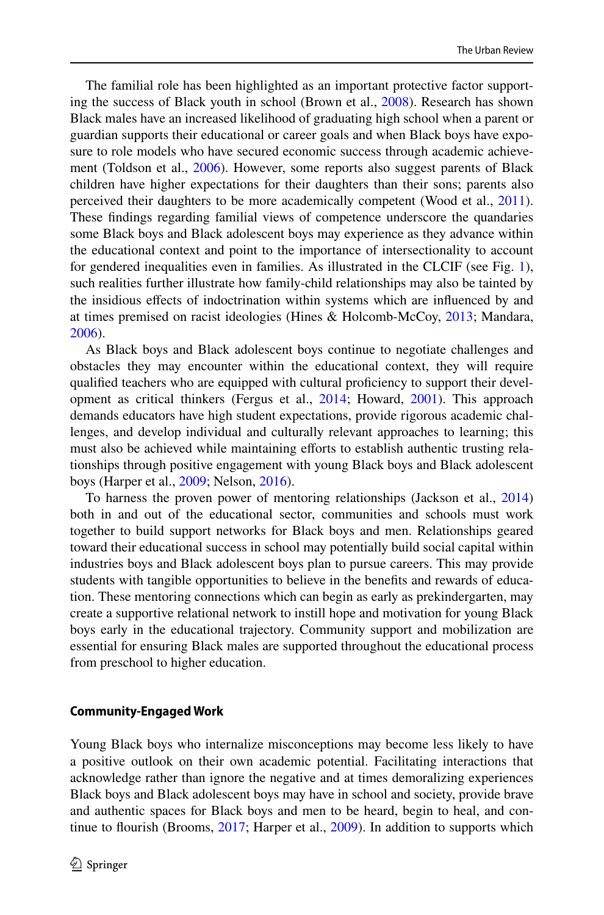The familial role has been highlighted as an important protective factor supporting the success of Black youth in school (Brown et al., [2008\)](#page-19-7). Research has shown Black males have an increased likelihood of graduating high school when a parent or guardian supports their educational or career goals and when Black boys have exposure to role models who have secured economic success through academic achievement (Toldson et al., [2006\)](#page-23-2). However, some reports also suggest parents of Black children have higher expectations for their daughters than their sons; parents also perceived their daughters to be more academically competent (Wood et al., [2011\)](#page-23-7). These fndings regarding familial views of competence underscore the quandaries some Black boys and Black adolescent boys may experience as they advance within the educational context and point to the importance of intersectionality to account for gendered inequalities even in families. As illustrated in the CLCIF (see Fig. [1\)](#page-2-0), such realities further illustrate how family-child relationships may also be tainted by the insidious efects of indoctrination within systems which are infuenced by and at times premised on racist ideologies (Hines & Holcomb-McCoy, [2013](#page-21-11); Mandara, [2006](#page-22-14)).

As Black boys and Black adolescent boys continue to negotiate challenges and obstacles they may encounter within the educational context, they will require qualifed teachers who are equipped with cultural profciency to support their development as critical thinkers (Fergus et al., [2014](#page-20-12); Howard, [2001\)](#page-21-12). This approach demands educators have high student expectations, provide rigorous academic challenges, and develop individual and culturally relevant approaches to learning; this must also be achieved while maintaining eforts to establish authentic trusting relationships through positive engagement with young Black boys and Black adolescent boys (Harper et al., [2009](#page-21-8); Nelson, [2016\)](#page-22-11).

To harness the proven power of mentoring relationships (Jackson et al., [2014\)](#page-21-13) both in and out of the educational sector, communities and schools must work together to build support networks for Black boys and men. Relationships geared toward their educational success in school may potentially build social capital within industries boys and Black adolescent boys plan to pursue careers. This may provide students with tangible opportunities to believe in the benefts and rewards of education. These mentoring connections which can begin as early as prekindergarten, may create a supportive relational network to instill hope and motivation for young Black boys early in the educational trajectory. Community support and mobilization are essential for ensuring Black males are supported throughout the educational process from preschool to higher education.

#### **Community‑Engaged Work**

Young Black boys who internalize misconceptions may become less likely to have a positive outlook on their own academic potential. Facilitating interactions that acknowledge rather than ignore the negative and at times demoralizing experiences Black boys and Black adolescent boys may have in school and society, provide brave and authentic spaces for Black boys and men to be heard, begin to heal, and con-tinue to flourish (Brooms, [2017;](#page-19-8) Harper et al., [2009\)](#page-21-8). In addition to supports which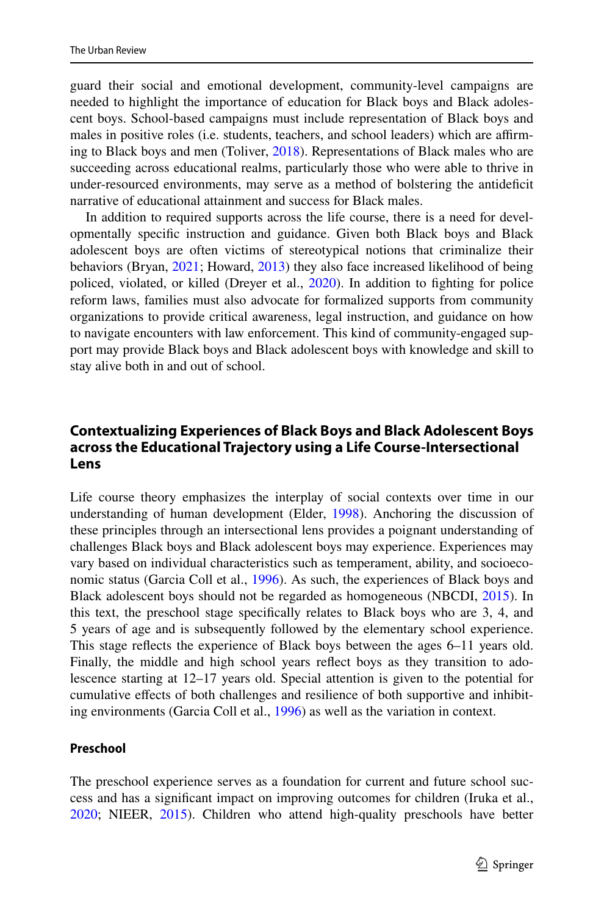guard their social and emotional development, community-level campaigns are needed to highlight the importance of education for Black boys and Black adolescent boys. School-based campaigns must include representation of Black boys and males in positive roles (i.e. students, teachers, and school leaders) which are afrming to Black boys and men (Toliver, [2018](#page-23-8)). Representations of Black males who are succeeding across educational realms, particularly those who were able to thrive in under-resourced environments, may serve as a method of bolstering the antidefcit narrative of educational attainment and success for Black males.

In addition to required supports across the life course, there is a need for developmentally specifc instruction and guidance. Given both Black boys and Black adolescent boys are often victims of stereotypical notions that criminalize their behaviors (Bryan, [2021](#page-19-9); Howard, [2013\)](#page-21-0) they also face increased likelihood of being policed, violated, or killed (Dreyer et al., [2020\)](#page-20-8). In addition to fighting for police reform laws, families must also advocate for formalized supports from community organizations to provide critical awareness, legal instruction, and guidance on how to navigate encounters with law enforcement. This kind of community-engaged support may provide Black boys and Black adolescent boys with knowledge and skill to stay alive both in and out of school.

# **Contextualizing Experiences of Black Boys and Black Adolescent Boys across the Educational Trajectory using a Life Course‑Intersectional Lens**

Life course theory emphasizes the interplay of social contexts over time in our understanding of human development (Elder, [1998\)](#page-20-4). Anchoring the discussion of these principles through an intersectional lens provides a poignant understanding of challenges Black boys and Black adolescent boys may experience. Experiences may vary based on individual characteristics such as temperament, ability, and socioeconomic status (Garcia Coll et al., [1996](#page-20-14)). As such, the experiences of Black boys and Black adolescent boys should not be regarded as homogeneous (NBCDI, [2015\)](#page-22-5). In this text, the preschool stage specifcally relates to Black boys who are 3, 4, and 5 years of age and is subsequently followed by the elementary school experience. This stage refects the experience of Black boys between the ages 6–11 years old. Finally, the middle and high school years refect boys as they transition to adolescence starting at 12–17 years old. Special attention is given to the potential for cumulative efects of both challenges and resilience of both supportive and inhibiting environments (Garcia Coll et al., [1996](#page-20-14)) as well as the variation in context.

#### **Preschool**

The preschool experience serves as a foundation for current and future school success and has a signifcant impact on improving outcomes for children (Iruka et al., [2020](#page-21-14); NIEER, [2015](#page-22-6)). Children who attend high-quality preschools have better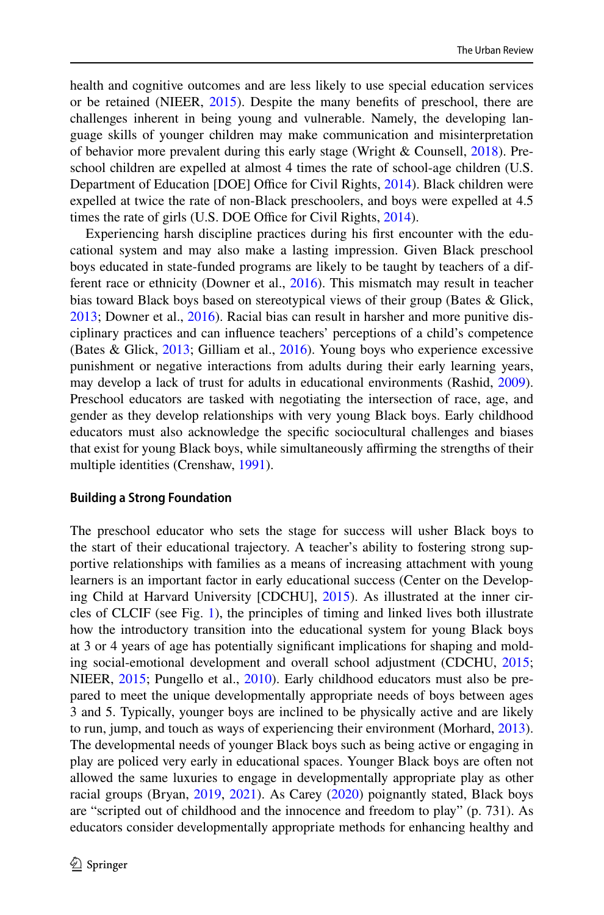health and cognitive outcomes and are less likely to use special education services or be retained (NIEER, [2015](#page-22-6)). Despite the many benefts of preschool, there are challenges inherent in being young and vulnerable. Namely, the developing language skills of younger children may make communication and misinterpretation of behavior more prevalent during this early stage (Wright & Counsell, [2018\)](#page-23-0). Preschool children are expelled at almost 4 times the rate of school-age children (U.S. Department of Education [DOE] Office for Civil Rights, [2014\)](#page-23-9). Black children were expelled at twice the rate of non-Black preschoolers, and boys were expelled at 4.5 times the rate of girls (U.S. DOE Office for Civil Rights, [2014](#page-23-9)).

Experiencing harsh discipline practices during his frst encounter with the educational system and may also make a lasting impression. Given Black preschool boys educated in state-funded programs are likely to be taught by teachers of a different race or ethnicity (Downer et al., [2016](#page-20-15)). This mismatch may result in teacher bias toward Black boys based on stereotypical views of their group (Bates & Glick, [2013](#page-19-10); Downer et al., [2016\)](#page-20-15). Racial bias can result in harsher and more punitive disciplinary practices and can infuence teachers' perceptions of a child's competence (Bates & Glick, [2013](#page-19-10); Gilliam et al., [2016\)](#page-20-16). Young boys who experience excessive punishment or negative interactions from adults during their early learning years, may develop a lack of trust for adults in educational environments (Rashid, [2009\)](#page-22-3). Preschool educators are tasked with negotiating the intersection of race, age, and gender as they develop relationships with very young Black boys. Early childhood educators must also acknowledge the specifc sociocultural challenges and biases that exist for young Black boys, while simultaneously afrming the strengths of their multiple identities (Crenshaw, [1991\)](#page-20-6).

#### **Building a Strong Foundation**

The preschool educator who sets the stage for success will usher Black boys to the start of their educational trajectory. A teacher's ability to fostering strong supportive relationships with families as a means of increasing attachment with young learners is an important factor in early educational success (Center on the Developing Child at Harvard University [CDCHU], [2015\)](#page-19-11). As illustrated at the inner circles of CLCIF (see Fig. [1](#page-2-0)), the principles of timing and linked lives both illustrate how the introductory transition into the educational system for young Black boys at 3 or 4 years of age has potentially signifcant implications for shaping and molding social-emotional development and overall school adjustment (CDCHU, [2015;](#page-19-11) NIEER, [2015](#page-22-6); Pungello et al., [2010\)](#page-22-7). Early childhood educators must also be prepared to meet the unique developmentally appropriate needs of boys between ages 3 and 5. Typically, younger boys are inclined to be physically active and are likely to run, jump, and touch as ways of experiencing their environment (Morhard, [2013\)](#page-22-15). The developmental needs of younger Black boys such as being active or engaging in play are policed very early in educational spaces. Younger Black boys are often not allowed the same luxuries to engage in developmentally appropriate play as other racial groups (Bryan, [2019](#page-19-12), [2021](#page-19-9)). As Carey [\(2020](#page-19-0)) poignantly stated, Black boys are "scripted out of childhood and the innocence and freedom to play" (p. 731). As educators consider developmentally appropriate methods for enhancing healthy and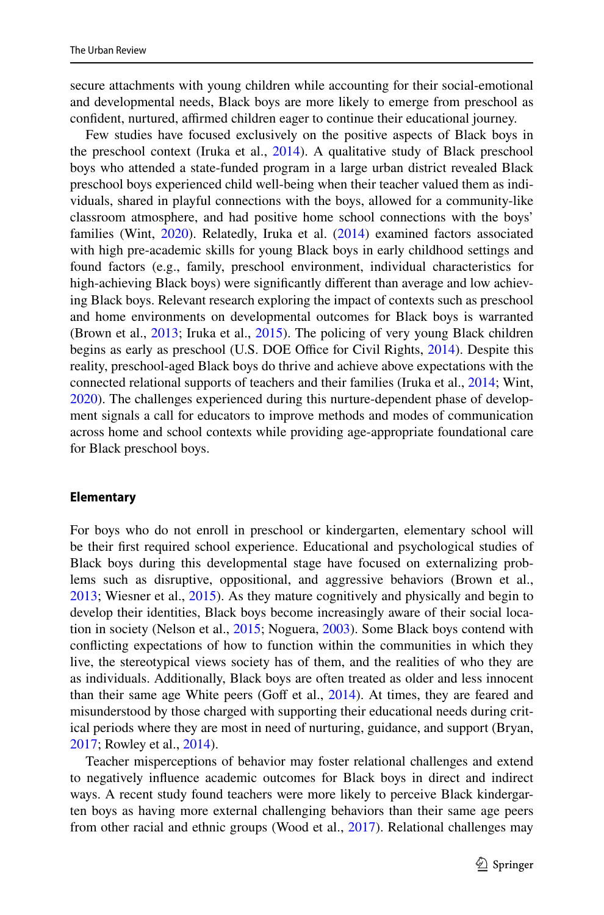secure attachments with young children while accounting for their social-emotional and developmental needs, Black boys are more likely to emerge from preschool as confident, nurtured, affirmed children eager to continue their educational journey.

Few studies have focused exclusively on the positive aspects of Black boys in the preschool context (Iruka et al., [2014](#page-21-15)). A qualitative study of Black preschool boys who attended a state-funded program in a large urban district revealed Black preschool boys experienced child well-being when their teacher valued them as individuals, shared in playful connections with the boys, allowed for a community-like classroom atmosphere, and had positive home school connections with the boys' families (Wint, [2020](#page-23-10)). Relatedly, Iruka et al. ([2014\)](#page-21-15) examined factors associated with high pre-academic skills for young Black boys in early childhood settings and found factors (e.g., family, preschool environment, individual characteristics for high-achieving Black boys) were signifcantly diferent than average and low achieving Black boys. Relevant research exploring the impact of contexts such as preschool and home environments on developmental outcomes for Black boys is warranted (Brown et al., [2013;](#page-19-6) Iruka et al., [2015\)](#page-21-7). The policing of very young Black children begins as early as preschool (U.S. DOE Office for Civil Rights, [2014](#page-23-9)). Despite this reality, preschool-aged Black boys do thrive and achieve above expectations with the connected relational supports of teachers and their families (Iruka et al., [2014;](#page-21-15) Wint, [2020](#page-23-10)). The challenges experienced during this nurture-dependent phase of development signals a call for educators to improve methods and modes of communication across home and school contexts while providing age-appropriate foundational care for Black preschool boys.

#### **Elementary**

For boys who do not enroll in preschool or kindergarten, elementary school will be their frst required school experience. Educational and psychological studies of Black boys during this developmental stage have focused on externalizing problems such as disruptive, oppositional, and aggressive behaviors (Brown et al., [2013](#page-19-6); Wiesner et al., [2015](#page-23-11)). As they mature cognitively and physically and begin to develop their identities, Black boys become increasingly aware of their social location in society (Nelson et al., [2015;](#page-22-2) Noguera, [2003\)](#page-22-0). Some Black boys contend with conficting expectations of how to function within the communities in which they live, the stereotypical views society has of them, and the realities of who they are as individuals. Additionally, Black boys are often treated as older and less innocent than their same age White peers (Goff et al.,  $2014$ ). At times, they are feared and misunderstood by those charged with supporting their educational needs during critical periods where they are most in need of nurturing, guidance, and support (Bryan, [2017](#page-19-2); Rowley et al., [2014](#page-22-1)).

Teacher misperceptions of behavior may foster relational challenges and extend to negatively infuence academic outcomes for Black boys in direct and indirect ways. A recent study found teachers were more likely to perceive Black kindergarten boys as having more external challenging behaviors than their same age peers from other racial and ethnic groups (Wood et al., [2017](#page-23-12)). Relational challenges may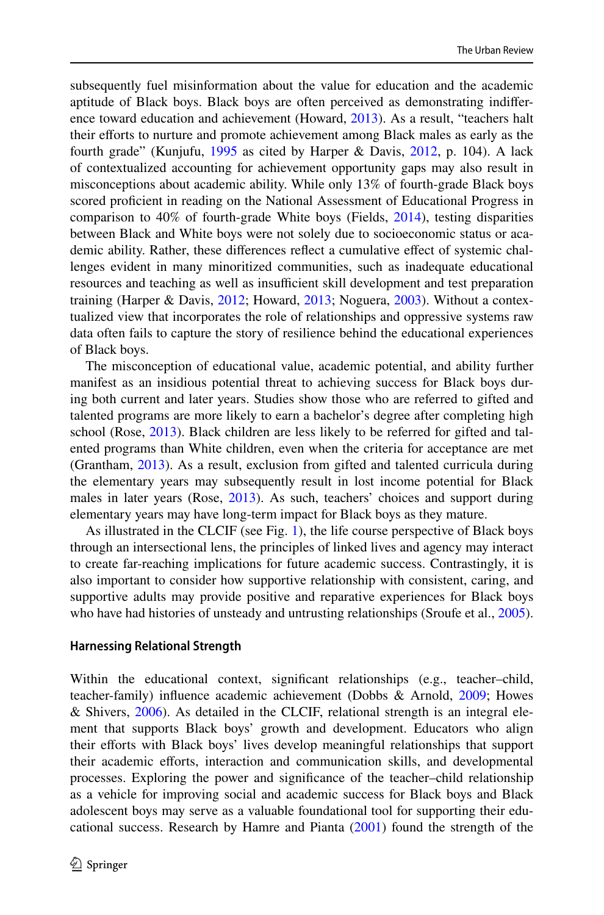subsequently fuel misinformation about the value for education and the academic aptitude of Black boys. Black boys are often perceived as demonstrating indiference toward education and achievement (Howard, [2013](#page-21-0)). As a result, "teachers halt their eforts to nurture and promote achievement among Black males as early as the fourth grade" (Kunjufu, [1995](#page-21-16) as cited by Harper & Davis, [2012,](#page-21-17) p. 104). A lack of contextualized accounting for achievement opportunity gaps may also result in misconceptions about academic ability. While only 13% of fourth-grade Black boys scored proficient in reading on the National Assessment of Educational Progress in comparison to 40% of fourth-grade White boys (Fields, [2014\)](#page-20-17), testing disparities between Black and White boys were not solely due to socioeconomic status or academic ability. Rather, these diferences refect a cumulative efect of systemic challenges evident in many minoritized communities, such as inadequate educational resources and teaching as well as insufficient skill development and test preparation training (Harper & Davis, [2012](#page-21-17); Howard, [2013](#page-21-0); Noguera, [2003\)](#page-22-0). Without a contextualized view that incorporates the role of relationships and oppressive systems raw data often fails to capture the story of resilience behind the educational experiences of Black boys.

The misconception of educational value, academic potential, and ability further manifest as an insidious potential threat to achieving success for Black boys during both current and later years. Studies show those who are referred to gifted and talented programs are more likely to earn a bachelor's degree after completing high school (Rose, [2013\)](#page-22-16). Black children are less likely to be referred for gifted and talented programs than White children, even when the criteria for acceptance are met (Grantham, [2013](#page-20-18)). As a result, exclusion from gifted and talented curricula during the elementary years may subsequently result in lost income potential for Black males in later years (Rose, [2013](#page-22-16)). As such, teachers' choices and support during elementary years may have long-term impact for Black boys as they mature.

As illustrated in the CLCIF (see Fig. [1](#page-2-0)), the life course perspective of Black boys through an intersectional lens, the principles of linked lives and agency may interact to create far-reaching implications for future academic success. Contrastingly, it is also important to consider how supportive relationship with consistent, caring, and supportive adults may provide positive and reparative experiences for Black boys who have had histories of unsteady and untrusting relationships (Sroufe et al., [2005\)](#page-23-13).

#### **Harnessing Relational Strength**

Within the educational context, significant relationships (e.g., teacher–child, teacher-family) infuence academic achievement (Dobbs & Arnold, [2009;](#page-20-19) Howes & Shivers, [2006](#page-21-18)). As detailed in the CLCIF, relational strength is an integral element that supports Black boys' growth and development. Educators who align their eforts with Black boys' lives develop meaningful relationships that support their academic efforts, interaction and communication skills, and developmental processes. Exploring the power and signifcance of the teacher–child relationship as a vehicle for improving social and academic success for Black boys and Black adolescent boys may serve as a valuable foundational tool for supporting their educational success. Research by Hamre and Pianta ([2001\)](#page-21-19) found the strength of the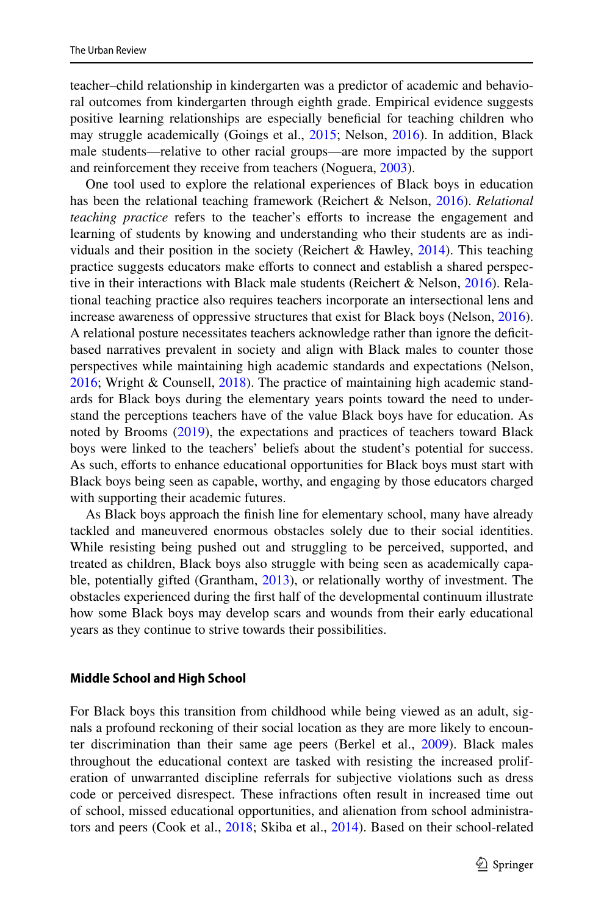teacher–child relationship in kindergarten was a predictor of academic and behavioral outcomes from kindergarten through eighth grade. Empirical evidence suggests positive learning relationships are especially beneficial for teaching children who may struggle academically (Goings et al., [2015](#page-20-20); Nelson, [2016](#page-22-11)). In addition, Black male students—relative to other racial groups—are more impacted by the support and reinforcement they receive from teachers (Noguera, [2003](#page-22-0)).

One tool used to explore the relational experiences of Black boys in education has been the relational teaching framework (Reichert & Nelson, [2016](#page-22-17)). *Relational teaching practice* refers to the teacher's efforts to increase the engagement and learning of students by knowing and understanding who their students are as individuals and their position in the society (Reichert & Hawley,  $2014$ ). This teaching practice suggests educators make eforts to connect and establish a shared perspective in their interactions with Black male students (Reichert & Nelson, [2016](#page-22-17)). Relational teaching practice also requires teachers incorporate an intersectional lens and increase awareness of oppressive structures that exist for Black boys (Nelson, [2016\)](#page-22-11). A relational posture necessitates teachers acknowledge rather than ignore the deficitbased narratives prevalent in society and align with Black males to counter those perspectives while maintaining high academic standards and expectations (Nelson, [2016](#page-22-11); Wright & Counsell, [2018](#page-23-0)). The practice of maintaining high academic standards for Black boys during the elementary years points toward the need to understand the perceptions teachers have of the value Black boys have for education. As noted by Brooms [\(2019](#page-19-5)), the expectations and practices of teachers toward Black boys were linked to the teachers' beliefs about the student's potential for success. As such, eforts to enhance educational opportunities for Black boys must start with Black boys being seen as capable, worthy, and engaging by those educators charged with supporting their academic futures.

As Black boys approach the fnish line for elementary school, many have already tackled and maneuvered enormous obstacles solely due to their social identities. While resisting being pushed out and struggling to be perceived, supported, and treated as children, Black boys also struggle with being seen as academically capable, potentially gifted (Grantham, [2013\)](#page-20-18), or relationally worthy of investment. The obstacles experienced during the frst half of the developmental continuum illustrate how some Black boys may develop scars and wounds from their early educational years as they continue to strive towards their possibilities.

#### **Middle School and High School**

For Black boys this transition from childhood while being viewed as an adult, signals a profound reckoning of their social location as they are more likely to encounter discrimination than their same age peers (Berkel et al., [2009\)](#page-19-13). Black males throughout the educational context are tasked with resisting the increased proliferation of unwarranted discipline referrals for subjective violations such as dress code or perceived disrespect. These infractions often result in increased time out of school, missed educational opportunities, and alienation from school administrators and peers (Cook et al., [2018](#page-20-21); Skiba et al., [2014](#page-23-3)). Based on their school-related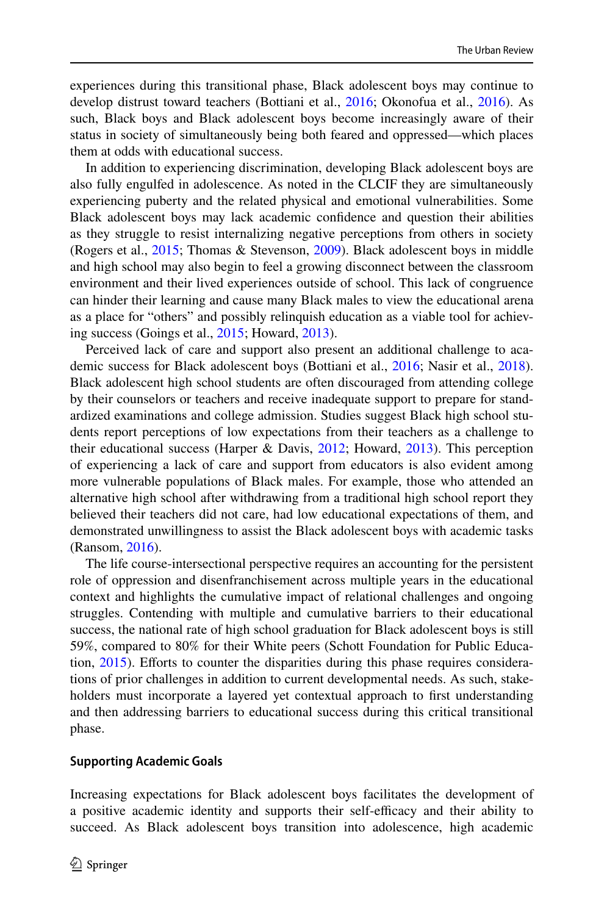experiences during this transitional phase, Black adolescent boys may continue to develop distrust toward teachers (Bottiani et al., [2016;](#page-19-14) Okonofua et al., [2016\)](#page-22-4). As such, Black boys and Black adolescent boys become increasingly aware of their status in society of simultaneously being both feared and oppressed—which places them at odds with educational success.

In addition to experiencing discrimination, developing Black adolescent boys are also fully engulfed in adolescence. As noted in the CLCIF they are simultaneously experiencing puberty and the related physical and emotional vulnerabilities. Some Black adolescent boys may lack academic confdence and question their abilities as they struggle to resist internalizing negative perceptions from others in society (Rogers et al., [2015;](#page-22-9) Thomas & Stevenson, [2009](#page-23-4)). Black adolescent boys in middle and high school may also begin to feel a growing disconnect between the classroom environment and their lived experiences outside of school. This lack of congruence can hinder their learning and cause many Black males to view the educational arena as a place for "others" and possibly relinquish education as a viable tool for achieving success (Goings et al., [2015;](#page-20-20) Howard, [2013\)](#page-21-0).

Perceived lack of care and support also present an additional challenge to academic success for Black adolescent boys (Bottiani et al., [2016;](#page-19-14) Nasir et al., [2018\)](#page-22-19). Black adolescent high school students are often discouraged from attending college by their counselors or teachers and receive inadequate support to prepare for standardized examinations and college admission. Studies suggest Black high school students report perceptions of low expectations from their teachers as a challenge to their educational success (Harper & Davis, [2012](#page-21-17); Howard, [2013](#page-21-0)). This perception of experiencing a lack of care and support from educators is also evident among more vulnerable populations of Black males. For example, those who attended an alternative high school after withdrawing from a traditional high school report they believed their teachers did not care, had low educational expectations of them, and demonstrated unwillingness to assist the Black adolescent boys with academic tasks (Ransom, [2016](#page-22-20)).

The life course-intersectional perspective requires an accounting for the persistent role of oppression and disenfranchisement across multiple years in the educational context and highlights the cumulative impact of relational challenges and ongoing struggles. Contending with multiple and cumulative barriers to their educational success, the national rate of high school graduation for Black adolescent boys is still 59%, compared to 80% for their White peers (Schott Foundation for Public Education, [2015](#page-22-21)). Eforts to counter the disparities during this phase requires considerations of prior challenges in addition to current developmental needs. As such, stakeholders must incorporate a layered yet contextual approach to frst understanding and then addressing barriers to educational success during this critical transitional phase.

#### **Supporting Academic Goals**

Increasing expectations for Black adolescent boys facilitates the development of a positive academic identity and supports their self-efficacy and their ability to succeed. As Black adolescent boys transition into adolescence, high academic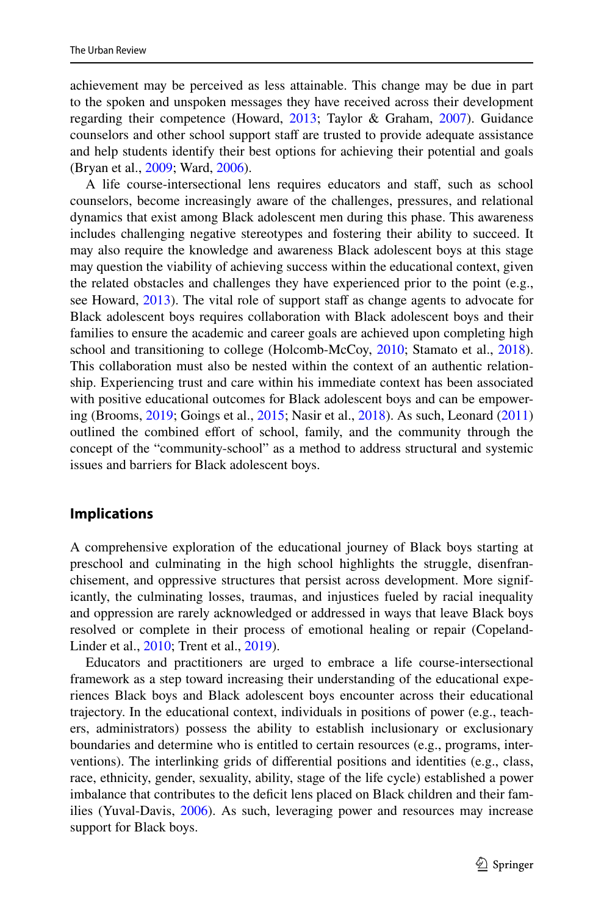achievement may be perceived as less attainable. This change may be due in part to the spoken and unspoken messages they have received across their development regarding their competence (Howard, [2013;](#page-21-0) Taylor & Graham, [2007\)](#page-23-14). Guidance counselors and other school support staff are trusted to provide adequate assistance and help students identify their best options for achieving their potential and goals (Bryan et al., [2009;](#page-19-15) Ward, [2006\)](#page-23-15).

A life course-intersectional lens requires educators and staf, such as school counselors, become increasingly aware of the challenges, pressures, and relational dynamics that exist among Black adolescent men during this phase. This awareness includes challenging negative stereotypes and fostering their ability to succeed. It may also require the knowledge and awareness Black adolescent boys at this stage may question the viability of achieving success within the educational context, given the related obstacles and challenges they have experienced prior to the point (e.g., see Howard, [2013](#page-21-0)). The vital role of support staf as change agents to advocate for Black adolescent boys requires collaboration with Black adolescent boys and their families to ensure the academic and career goals are achieved upon completing high school and transitioning to college (Holcomb-McCoy, [2010](#page-21-20); Stamato et al., [2018\)](#page-23-16). This collaboration must also be nested within the context of an authentic relationship. Experiencing trust and care within his immediate context has been associated with positive educational outcomes for Black adolescent boys and can be empowering (Brooms, [2019](#page-19-5); Goings et al., [2015](#page-20-20); Nasir et al., [2018\)](#page-22-19). As such, Leonard ([2011\)](#page-21-3) outlined the combined efort of school, family, and the community through the concept of the "community-school" as a method to address structural and systemic issues and barriers for Black adolescent boys.

### **Implications**

A comprehensive exploration of the educational journey of Black boys starting at preschool and culminating in the high school highlights the struggle, disenfranchisement, and oppressive structures that persist across development. More significantly, the culminating losses, traumas, and injustices fueled by racial inequality and oppression are rarely acknowledged or addressed in ways that leave Black boys resolved or complete in their process of emotional healing or repair (Copeland-Linder et al., [2010;](#page-19-16) Trent et al., [2019](#page-23-17)).

Educators and practitioners are urged to embrace a life course-intersectional framework as a step toward increasing their understanding of the educational experiences Black boys and Black adolescent boys encounter across their educational trajectory. In the educational context, individuals in positions of power (e.g., teachers, administrators) possess the ability to establish inclusionary or exclusionary boundaries and determine who is entitled to certain resources (e.g., programs, interventions). The interlinking grids of diferential positions and identities (e.g., class, race, ethnicity, gender, sexuality, ability, stage of the life cycle) established a power imbalance that contributes to the defcit lens placed on Black children and their families (Yuval-Davis, [2006](#page-23-18)). As such, leveraging power and resources may increase support for Black boys.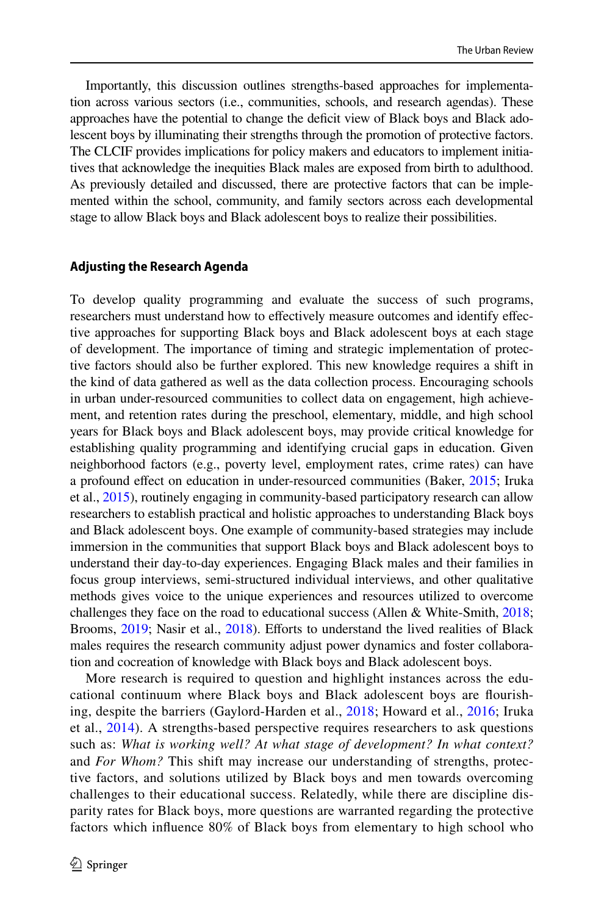Importantly, this discussion outlines strengths-based approaches for implementation across various sectors (i.e., communities, schools, and research agendas). These approaches have the potential to change the defcit view of Black boys and Black adolescent boys by illuminating their strengths through the promotion of protective factors. The CLCIF provides implications for policy makers and educators to implement initiatives that acknowledge the inequities Black males are exposed from birth to adulthood. As previously detailed and discussed, there are protective factors that can be implemented within the school, community, and family sectors across each developmental stage to allow Black boys and Black adolescent boys to realize their possibilities.

#### **Adjusting the Research Agenda**

To develop quality programming and evaluate the success of such programs, researchers must understand how to efectively measure outcomes and identify efective approaches for supporting Black boys and Black adolescent boys at each stage of development. The importance of timing and strategic implementation of protective factors should also be further explored. This new knowledge requires a shift in the kind of data gathered as well as the data collection process. Encouraging schools in urban under-resourced communities to collect data on engagement, high achievement, and retention rates during the preschool, elementary, middle, and high school years for Black boys and Black adolescent boys, may provide critical knowledge for establishing quality programming and identifying crucial gaps in education. Given neighborhood factors (e.g., poverty level, employment rates, crime rates) can have a profound efect on education in under-resourced communities (Baker, [2015](#page-19-17); Iruka et al., [2015\)](#page-21-7), routinely engaging in community-based participatory research can allow researchers to establish practical and holistic approaches to understanding Black boys and Black adolescent boys. One example of community-based strategies may include immersion in the communities that support Black boys and Black adolescent boys to understand their day-to-day experiences. Engaging Black males and their families in focus group interviews, semi-structured individual interviews, and other qualitative methods gives voice to the unique experiences and resources utilized to overcome challenges they face on the road to educational success (Allen & White-Smith, [2018;](#page-19-18) Brooms, [2019;](#page-19-5) Nasir et al., [2018\)](#page-22-19). Efforts to understand the lived realities of Black males requires the research community adjust power dynamics and foster collaboration and cocreation of knowledge with Black boys and Black adolescent boys.

More research is required to question and highlight instances across the educational continuum where Black boys and Black adolescent boys are fourishing, despite the barriers (Gaylord-Harden et al., [2018;](#page-20-3) Howard et al., [2016;](#page-21-21) Iruka et al., [2014](#page-21-15)). A strengths-based perspective requires researchers to ask questions such as: *What is working well? At what stage of development? In what context?* and *For Whom?* This shift may increase our understanding of strengths, protective factors, and solutions utilized by Black boys and men towards overcoming challenges to their educational success. Relatedly, while there are discipline disparity rates for Black boys, more questions are warranted regarding the protective factors which infuence 80% of Black boys from elementary to high school who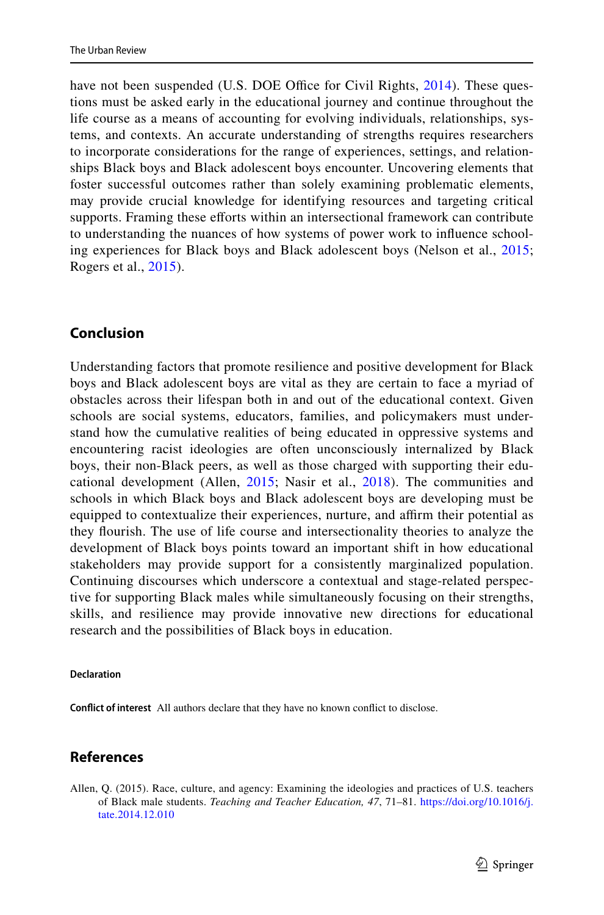have not been suspended (U.S. DOE Office for Civil Rights, [2014\)](#page-23-9). These questions must be asked early in the educational journey and continue throughout the life course as a means of accounting for evolving individuals, relationships, systems, and contexts. An accurate understanding of strengths requires researchers to incorporate considerations for the range of experiences, settings, and relationships Black boys and Black adolescent boys encounter. Uncovering elements that foster successful outcomes rather than solely examining problematic elements, may provide crucial knowledge for identifying resources and targeting critical supports. Framing these efforts within an intersectional framework can contribute to understanding the nuances of how systems of power work to infuence schooling experiences for Black boys and Black adolescent boys (Nelson et al., [2015;](#page-22-2) Rogers et al., [2015](#page-22-9)).

### **Conclusion**

Understanding factors that promote resilience and positive development for Black boys and Black adolescent boys are vital as they are certain to face a myriad of obstacles across their lifespan both in and out of the educational context. Given schools are social systems, educators, families, and policymakers must understand how the cumulative realities of being educated in oppressive systems and encountering racist ideologies are often unconsciously internalized by Black boys, their non-Black peers, as well as those charged with supporting their educational development (Allen, [2015](#page-18-0); Nasir et al., [2018](#page-22-19)). The communities and schools in which Black boys and Black adolescent boys are developing must be equipped to contextualize their experiences, nurture, and affirm their potential as they fourish. The use of life course and intersectionality theories to analyze the development of Black boys points toward an important shift in how educational stakeholders may provide support for a consistently marginalized population. Continuing discourses which underscore a contextual and stage-related perspective for supporting Black males while simultaneously focusing on their strengths, skills, and resilience may provide innovative new directions for educational research and the possibilities of Black boys in education.

#### **Declaration**

**Confict of interest** All authors declare that they have no known confict to disclose.

# **References**

<span id="page-18-0"></span>Allen, Q. (2015). Race, culture, and agency: Examining the ideologies and practices of U.S. teachers of Black male students. *Teaching and Teacher Education, 47*, 71–81. [https://doi.org/10.1016/j.](https://doi.org/10.1016/j.tate.2014.12.010) [tate.2014.12.010](https://doi.org/10.1016/j.tate.2014.12.010)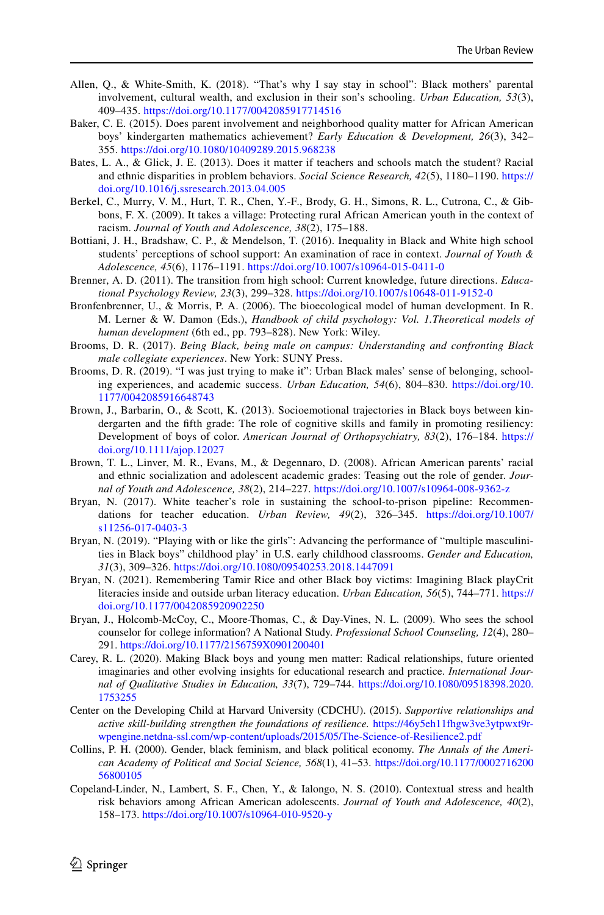- <span id="page-19-18"></span>Allen, Q., & White-Smith, K. (2018). "That's why I say stay in school": Black mothers' parental involvement, cultural wealth, and exclusion in their son's schooling. *Urban Education, 53*(3), 409–435. <https://doi.org/10.1177/0042085917714516>
- <span id="page-19-17"></span>Baker, C. E. (2015). Does parent involvement and neighborhood quality matter for African American boys' kindergarten mathematics achievement? *Early Education & Development, 26*(3), 342– 355. <https://doi.org/10.1080/10409289.2015.968238>
- <span id="page-19-10"></span>Bates, L. A., & Glick, J. E. (2013). Does it matter if teachers and schools match the student? Racial and ethnic disparities in problem behaviors. *Social Science Research, 42*(5), 1180–1190. [https://](https://doi.org/10.1016/j.ssresearch.2013.04.005) [doi.org/10.1016/j.ssresearch.2013.04.005](https://doi.org/10.1016/j.ssresearch.2013.04.005)
- <span id="page-19-13"></span>Berkel, C., Murry, V. M., Hurt, T. R., Chen, Y.-F., Brody, G. H., Simons, R. L., Cutrona, C., & Gibbons, F. X. (2009). It takes a village: Protecting rural African American youth in the context of racism. *Journal of Youth and Adolescence, 38*(2), 175–188.
- <span id="page-19-14"></span>Bottiani, J. H., Bradshaw, C. P., & Mendelson, T. (2016). Inequality in Black and White high school students' perceptions of school support: An examination of race in context. *Journal of Youth & Adolescence, 45*(6), 1176–1191.<https://doi.org/10.1007/s10964-015-0411-0>
- <span id="page-19-3"></span>Brenner, A. D. (2011). The transition from high school: Current knowledge, future directions. *Educational Psychology Review, 23*(3), 299–328. <https://doi.org/10.1007/s10648-011-9152-0>
- <span id="page-19-4"></span>Bronfenbrenner, U., & Morris, P. A. (2006). The bioecological model of human development. In R. M. Lerner & W. Damon (Eds.), *Handbook of child psychology: Vol. 1.Theoretical models of human development* (6th ed., pp. 793–828). New York: Wiley.
- <span id="page-19-8"></span>Brooms, D. R. (2017). *Being Black, being male on campus: Understanding and confronting Black male collegiate experiences*. New York: SUNY Press.
- <span id="page-19-5"></span>Brooms, D. R. (2019). "I was just trying to make it": Urban Black males' sense of belonging, schooling experiences, and academic success. *Urban Education, 54*(6), 804–830. [https://doi.org/10.](https://doi.org/10.1177/0042085916648743) [1177/0042085916648743](https://doi.org/10.1177/0042085916648743)
- <span id="page-19-6"></span>Brown, J., Barbarin, O., & Scott, K. (2013). Socioemotional trajectories in Black boys between kindergarten and the ffth grade: The role of cognitive skills and family in promoting resiliency: Development of boys of color. *American Journal of Orthopsychiatry, 83*(2), 176–184. [https://](https://doi.org/10.1111/ajop.12027) [doi.org/10.1111/ajop.12027](https://doi.org/10.1111/ajop.12027)
- <span id="page-19-7"></span>Brown, T. L., Linver, M. R., Evans, M., & Degennaro, D. (2008). African American parents' racial and ethnic socialization and adolescent academic grades: Teasing out the role of gender. *Journal of Youth and Adolescence, 38*(2), 214–227. <https://doi.org/10.1007/s10964-008-9362-z>
- <span id="page-19-2"></span>Bryan, N. (2017). White teacher's role in sustaining the school-to-prison pipeline: Recommendations for teacher education. *Urban Review, 49*(2), 326–345. [https://doi.org/10.1007/](https://doi.org/10.1007/s11256-017-0403-3) [s11256-017-0403-3](https://doi.org/10.1007/s11256-017-0403-3)
- <span id="page-19-12"></span>Bryan, N. (2019). "Playing with or like the girls": Advancing the performance of "multiple masculinities in Black boys" childhood play' in U.S. early childhood classrooms. *Gender and Education, 31*(3), 309–326. <https://doi.org/10.1080/09540253.2018.1447091>
- <span id="page-19-9"></span>Bryan, N. (2021). Remembering Tamir Rice and other Black boy victims: Imagining Black playCrit literacies inside and outside urban literacy education. *Urban Education, 56*(5), 744–771. [https://](https://doi.org/10.1177/0042085920902250) [doi.org/10.1177/0042085920902250](https://doi.org/10.1177/0042085920902250)
- <span id="page-19-15"></span>Bryan, J., Holcomb-McCoy, C., Moore-Thomas, C., & Day-Vines, N. L. (2009). Who sees the school counselor for college information? A National Study. *Professional School Counseling, 12*(4), 280– 291. <https://doi.org/10.1177/2156759X0901200401>
- <span id="page-19-0"></span>Carey, R. L. (2020). Making Black boys and young men matter: Radical relationships, future oriented imaginaries and other evolving insights for educational research and practice. *International Journal of Qualitative Studies in Education, 33*(7), 729–744. [https://doi.org/10.1080/09518398.2020.](https://doi.org/10.1080/09518398.2020.1753255) [1753255](https://doi.org/10.1080/09518398.2020.1753255)
- <span id="page-19-11"></span>Center on the Developing Child at Harvard University (CDCHU). (2015). *Supportive relationships and active skill-building strengthen the foundations of resilience.* [https://46y5eh11fhgw3ve3ytpwxt9r](https://46y5eh11fhgw3ve3ytpwxt9r-wpengine.netdna-ssl.com/wp-content/uploads/2015/05/The-Science-of-Resilience2.pdf)[wpengine.netdna-ssl.com/wp-content/uploads/2015/05/The-Science-of-Resilience2.pdf](https://46y5eh11fhgw3ve3ytpwxt9r-wpengine.netdna-ssl.com/wp-content/uploads/2015/05/The-Science-of-Resilience2.pdf)
- <span id="page-19-1"></span>Collins, P. H. (2000). Gender, black feminism, and black political economy. *The Annals of the American Academy of Political and Social Science, 568*(1), 41–53. [https://doi.org/10.1177/0002716200](https://doi.org/10.1177/000271620056800105) [56800105](https://doi.org/10.1177/000271620056800105)
- <span id="page-19-16"></span>Copeland-Linder, N., Lambert, S. F., Chen, Y., & Ialongo, N. S. (2010). Contextual stress and health risk behaviors among African American adolescents. *Journal of Youth and Adolescence, 40*(2), 158–173. <https://doi.org/10.1007/s10964-010-9520-y>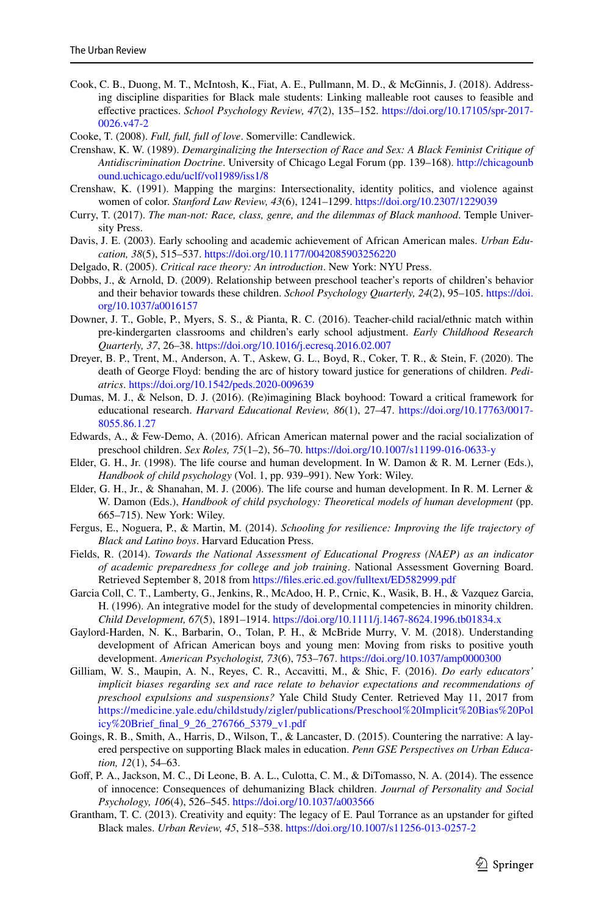<span id="page-20-21"></span>Cook, C. B., Duong, M. T., McIntosh, K., Fiat, A. E., Pullmann, M. D., & McGinnis, J. (2018). Addressing discipline disparities for Black male students: Linking malleable root causes to feasible and efective practices. *School Psychology Review, 47*(2), 135–152. [https://doi.org/10.17105/spr-2017-](https://doi.org/10.17105/spr-2017-0026.v47-2) [0026.v47-2](https://doi.org/10.17105/spr-2017-0026.v47-2)

<span id="page-20-13"></span>Cooke, T. (2008). *Full, full, full of love*. Somerville: Candlewick.

- <span id="page-20-11"></span>Crenshaw, K. W. (1989). *Demarginalizing the Intersection of Race and Sex: A Black Feminist Critique of Antidiscrimination Doctrine*. University of Chicago Legal Forum (pp. 139–168). [http://chicagounb](http://chicagounbound.uchicago.edu/uclf/vol1989/iss1/8) [ound.uchicago.edu/uclf/vol1989/iss1/8](http://chicagounbound.uchicago.edu/uclf/vol1989/iss1/8)
- <span id="page-20-6"></span>Crenshaw, K. (1991). Mapping the margins: Intersectionality, identity politics, and violence against women of color. *Stanford Law Review, 43*(6), 1241–1299. <https://doi.org/10.2307/1229039>
- <span id="page-20-9"></span>Curry, T. (2017). *The man-not: Race, class, genre, and the dilemmas of Black manhood*. Temple University Press.
- <span id="page-20-1"></span>Davis, J. E. (2003). Early schooling and academic achievement of African American males. *Urban Education, 38*(5), 515–537. <https://doi.org/10.1177/0042085903256220>
- <span id="page-20-10"></span>Delgado, R. (2005). *Critical race theory: An introduction*. New York: NYU Press.
- <span id="page-20-19"></span>Dobbs, J., & Arnold, D. (2009). Relationship between preschool teacher's reports of children's behavior and their behavior towards these children. *School Psychology Quarterly, 24*(2), 95–105. [https://doi.](https://doi.org/10.1037/a0016157) [org/10.1037/a0016157](https://doi.org/10.1037/a0016157)
- <span id="page-20-15"></span>Downer, J. T., Goble, P., Myers, S. S., & Pianta, R. C. (2016). Teacher-child racial/ethnic match within pre-kindergarten classrooms and children's early school adjustment. *Early Childhood Research Quarterly, 37*, 26–38. <https://doi.org/10.1016/j.ecresq.2016.02.007>
- <span id="page-20-8"></span>Dreyer, B. P., Trent, M., Anderson, A. T., Askew, G. L., Boyd, R., Coker, T. R., & Stein, F. (2020). The death of George Floyd: bending the arc of history toward justice for generations of children. *Pediatrics*. <https://doi.org/10.1542/peds.2020-009639>
- <span id="page-20-2"></span>Dumas, M. J., & Nelson, D. J. (2016). (Re)imagining Black boyhood: Toward a critical framework for educational research. *Harvard Educational Review, 86*(1), 27–47. [https://doi.org/10.17763/0017-](https://doi.org/10.17763/0017-8055.86.1.27) [8055.86.1.27](https://doi.org/10.17763/0017-8055.86.1.27)
- <span id="page-20-5"></span>Edwards, A., & Few-Demo, A. (2016). African American maternal power and the racial socialization of preschool children. *Sex Roles, 75*(1–2), 56–70. <https://doi.org/10.1007/s11199-016-0633-y>
- <span id="page-20-4"></span>Elder, G. H., Jr. (1998). The life course and human development. In W. Damon & R. M. Lerner (Eds.), *Handbook of child psychology* (Vol. 1, pp. 939–991). New York: Wiley.
- <span id="page-20-7"></span>Elder, G. H., Jr., & Shanahan, M. J. (2006). The life course and human development. In R. M. Lerner & W. Damon (Eds.), *Handbook of child psychology: Theoretical models of human development* (pp. 665–715). New York: Wiley.
- <span id="page-20-12"></span>Fergus, E., Noguera, P., & Martin, M. (2014). *Schooling for resilience: Improving the life trajectory of Black and Latino boys*. Harvard Education Press.
- <span id="page-20-17"></span>Fields, R. (2014). *Towards the National Assessment of Educational Progress (NAEP) as an indicator of academic preparedness for college and job training*. National Assessment Governing Board. Retrieved September 8, 2018 from https://files.eric.ed.gov/fulltext/ED582999.pdf
- <span id="page-20-14"></span>Garcia Coll, C. T., Lamberty, G., Jenkins, R., McAdoo, H. P., Crnic, K., Wasik, B. H., & Vazquez Garcia, H. (1996). An integrative model for the study of developmental competencies in minority children. *Child Development, 67*(5), 1891–1914. <https://doi.org/10.1111/j.1467-8624.1996.tb01834.x>
- <span id="page-20-3"></span>Gaylord-Harden, N. K., Barbarin, O., Tolan, P. H., & McBride Murry, V. M. (2018). Understanding development of African American boys and young men: Moving from risks to positive youth development. *American Psychologist, 73*(6), 753–767. <https://doi.org/10.1037/amp0000300>
- <span id="page-20-16"></span>Gilliam, W. S., Maupin, A. N., Reyes, C. R., Accavitti, M., & Shic, F. (2016). *Do early educators' implicit biases regarding sex and race relate to behavior expectations and recommendations of preschool expulsions and suspensions?* Yale Child Study Center. Retrieved May 11, 2017 from [https://medicine.yale.edu/childstudy/zigler/publications/Preschool%20Implicit%20Bias%20Pol](https://medicine.yale.edu/childstudy/zigler/publications/Preschool%20Implicit%20Bias%20Policy%20Brief_final_9_26_276766_5379_v1.pdf) [icy%20Brief\\_fnal\\_9\\_26\\_276766\\_5379\\_v1.pdf](https://medicine.yale.edu/childstudy/zigler/publications/Preschool%20Implicit%20Bias%20Policy%20Brief_final_9_26_276766_5379_v1.pdf)
- <span id="page-20-20"></span>Goings, R. B., Smith, A., Harris, D., Wilson, T., & Lancaster, D. (2015). Countering the narrative: A layered perspective on supporting Black males in education. *Penn GSE Perspectives on Urban Education, 12*(1), 54–63.
- <span id="page-20-0"></span>Gof, P. A., Jackson, M. C., Di Leone, B. A. L., Culotta, C. M., & DiTomasso, N. A. (2014). The essence of innocence: Consequences of dehumanizing Black children. *Journal of Personality and Social Psychology, 106*(4), 526–545.<https://doi.org/10.1037/a003566>
- <span id="page-20-18"></span>Grantham, T. C. (2013). Creativity and equity: The legacy of E. Paul Torrance as an upstander for gifted Black males. *Urban Review, 45*, 518–538. <https://doi.org/10.1007/s11256-013-0257-2>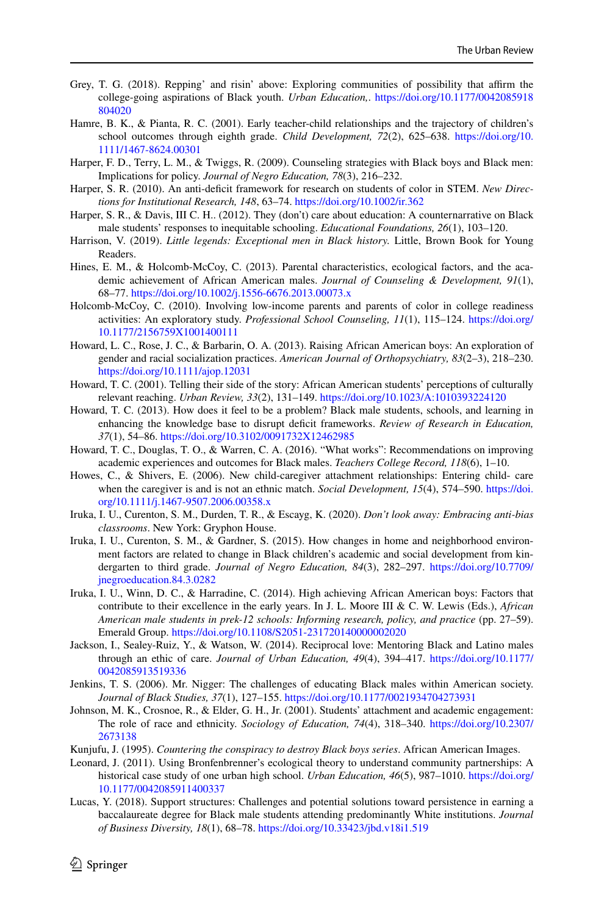- <span id="page-21-6"></span>Grey, T. G. (2018). Repping' and risin' above: Exploring communities of possibility that afrm the college-going aspirations of Black youth. *Urban Education,*. [https://doi.org/10.1177/0042085918](https://doi.org/10.1177/0042085918804020) [804020](https://doi.org/10.1177/0042085918804020)
- <span id="page-21-19"></span>Hamre, B. K., & Pianta, R. C. (2001). Early teacher-child relationships and the trajectory of children's school outcomes through eighth grade. *Child Development, 72*(2), 625–638. [https://doi.org/10.](https://doi.org/10.1111/1467-8624.00301) [1111/1467-8624.00301](https://doi.org/10.1111/1467-8624.00301)
- <span id="page-21-8"></span>Harper, F. D., Terry, L. M., & Twiggs, R. (2009). Counseling strategies with Black boys and Black men: Implications for policy. *Journal of Negro Education, 78*(3), 216–232.
- <span id="page-21-5"></span>Harper, S. R. (2010). An anti-defcit framework for research on students of color in STEM. *New Directions for Institutional Research, 148*, 63–74. <https://doi.org/10.1002/ir.362>
- <span id="page-21-17"></span>Harper, S. R., & Davis, III C. H.. (2012). They (don't) care about education: A counternarrative on Black male students' responses to inequitable schooling. *Educational Foundations, 26*(1), 103–120.
- <span id="page-21-10"></span>Harrison, V. (2019). *Little legends: Exceptional men in Black history.* Little, Brown Book for Young Readers.
- <span id="page-21-11"></span>Hines, E. M., & Holcomb-McCoy, C. (2013). Parental characteristics, ecological factors, and the academic achievement of African American males. *Journal of Counseling & Development, 91*(1), 68–77. <https://doi.org/10.1002/j.1556-6676.2013.00073.x>
- <span id="page-21-20"></span>Holcomb-McCoy, C. (2010). Involving low-income parents and parents of color in college readiness activities: An exploratory study. *Professional School Counseling, 11*(1), 115–124. [https://doi.org/](https://doi.org/10.1177/2156759X1001400111) [10.1177/2156759X1001400111](https://doi.org/10.1177/2156759X1001400111)
- <span id="page-21-9"></span>Howard, L. C., Rose, J. C., & Barbarin, O. A. (2013). Raising African American boys: An exploration of gender and racial socialization practices. *American Journal of Orthopsychiatry, 83*(2–3), 218–230. <https://doi.org/10.1111/ajop.12031>
- <span id="page-21-12"></span>Howard, T. C. (2001). Telling their side of the story: African American students' perceptions of culturally relevant reaching. *Urban Review, 33*(2), 131–149.<https://doi.org/10.1023/A:1010393224120>
- <span id="page-21-0"></span>Howard, T. C. (2013). How does it feel to be a problem? Black male students, schools, and learning in enhancing the knowledge base to disrupt deficit frameworks. *Review of Research in Education*, *37*(1), 54–86. <https://doi.org/10.3102/0091732X12462985>
- <span id="page-21-21"></span>Howard, T. C., Douglas, T. O., & Warren, C. A. (2016). "What works": Recommendations on improving academic experiences and outcomes for Black males. *Teachers College Record, 118*(6), 1–10.
- <span id="page-21-18"></span>Howes, C., & Shivers, E. (2006). New child-caregiver attachment relationships: Entering child- care when the caregiver is and is not an ethnic match. *Social Development, 15*(4), 574–590. [https://doi.](https://doi.org/10.1111/j.1467-9507.2006.00358.x) [org/10.1111/j.1467-9507.2006.00358.x](https://doi.org/10.1111/j.1467-9507.2006.00358.x)
- <span id="page-21-14"></span>Iruka, I. U., Curenton, S. M., Durden, T. R., & Escayg, K. (2020). *Don't look away: Embracing anti-bias classrooms*. New York: Gryphon House.
- <span id="page-21-7"></span>Iruka, I. U., Curenton, S. M., & Gardner, S. (2015). How changes in home and neighborhood environment factors are related to change in Black children's academic and social development from kindergarten to third grade. *Journal of Negro Education, 84*(3), 282–297. [https://doi.org/10.7709/](https://doi.org/10.7709/jnegroeducation.84.3.0282) [jnegroeducation.84.3.0282](https://doi.org/10.7709/jnegroeducation.84.3.0282)
- <span id="page-21-15"></span>Iruka, I. U., Winn, D. C., & Harradine, C. (2014). High achieving African American boys: Factors that contribute to their excellence in the early years. In J. L. Moore III & C. W. Lewis (Eds.), *African American male students in prek-12 schools: Informing research, policy, and practice* (pp. 27–59). Emerald Group.<https://doi.org/10.1108/S2051-231720140000002020>
- <span id="page-21-13"></span>Jackson, I., Sealey-Ruiz, Y., & Watson, W. (2014). Reciprocal love: Mentoring Black and Latino males through an ethic of care. *Journal of Urban Education, 49*(4), 394–417. [https://doi.org/10.1177/](https://doi.org/10.1177/0042085913519336) [0042085913519336](https://doi.org/10.1177/0042085913519336)
- <span id="page-21-1"></span>Jenkins, T. S. (2006). Mr. Nigger: The challenges of educating Black males within American society. *Journal of Black Studies, 37*(1), 127–155.<https://doi.org/10.1177/0021934704273931>
- <span id="page-21-2"></span>Johnson, M. K., Crosnoe, R., & Elder, G. H., Jr. (2001). Students' attachment and academic engagement: The role of race and ethnicity. *Sociology of Education, 74*(4), 318–340. [https://doi.org/10.2307/](https://doi.org/10.2307/2673138) [2673138](https://doi.org/10.2307/2673138)
- <span id="page-21-16"></span>Kunjufu, J. (1995). *Countering the conspiracy to destroy Black boys series*. African American Images.
- <span id="page-21-3"></span>Leonard, J. (2011). Using Bronfenbrenner's ecological theory to understand community partnerships: A historical case study of one urban high school. *Urban Education, 46*(5), 987–1010. [https://doi.org/](https://doi.org/10.1177/0042085911400337) [10.1177/0042085911400337](https://doi.org/10.1177/0042085911400337)
- <span id="page-21-4"></span>Lucas, Y. (2018). Support structures: Challenges and potential solutions toward persistence in earning a baccalaureate degree for Black male students attending predominantly White institutions. *Journal of Business Diversity, 18*(1), 68–78.<https://doi.org/10.33423/jbd.v18i1.519>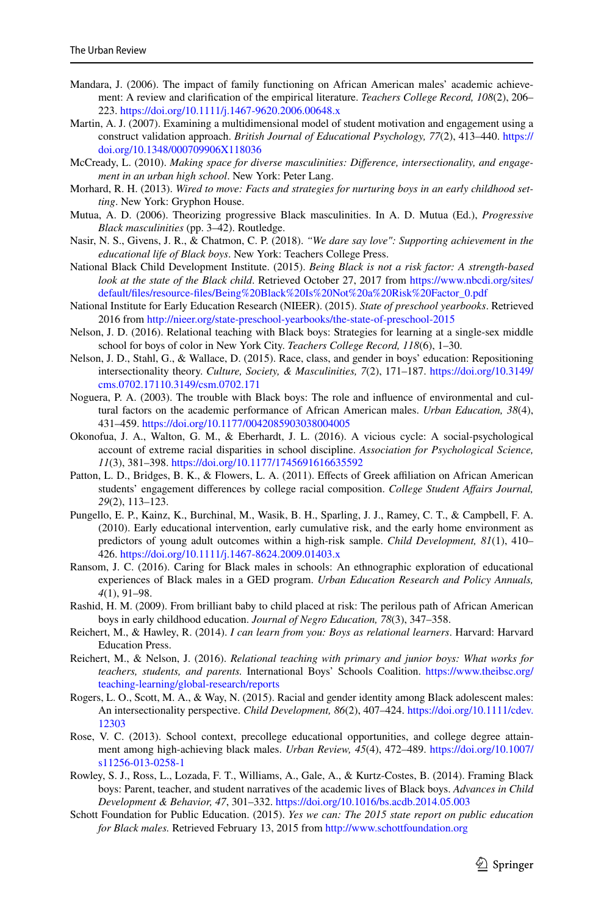- <span id="page-22-14"></span>Mandara, J. (2006). The impact of family functioning on African American males' academic achievement: A review and clarifcation of the empirical literature. *Teachers College Record, 108*(2), 206– 223. <https://doi.org/10.1111/j.1467-9620.2006.00648.x>
- <span id="page-22-12"></span>Martin, A. J. (2007). Examining a multidimensional model of student motivation and engagement using a construct validation approach. *British Journal of Educational Psychology, 77*(2), 413–440. [https://](https://doi.org/10.1348/000709906X118036) [doi.org/10.1348/000709906X118036](https://doi.org/10.1348/000709906X118036)
- <span id="page-22-10"></span>McCready, L. (2010). *Making space for diverse masculinities: Diference, intersectionality, and engagement in an urban high school*. New York: Peter Lang.
- <span id="page-22-15"></span>Morhard, R. H. (2013). *Wired to move: Facts and strategies for nurturing boys in an early childhood setting*. New York: Gryphon House.
- <span id="page-22-8"></span>Mutua, A. D. (2006). Theorizing progressive Black masculinities. In A. D. Mutua (Ed.), *Progressive Black masculinities* (pp. 3–42). Routledge.
- <span id="page-22-19"></span>Nasir, N. S., Givens, J. R., & Chatmon, C. P. (2018). *"We dare say love": Supporting achievement in the educational life of Black boys*. New York: Teachers College Press.
- <span id="page-22-5"></span>National Black Child Development Institute. (2015). *Being Black is not a risk factor: A strength-based look at the state of the Black child*. Retrieved October 27, 2017 from [https://www.nbcdi.org/sites/](https://www.nbcdi.org/sites/default/files/resource-files/Being%20Black%20Is%20Not%20a%20Risk%20Factor_0.pdf) [default/fles/resource-fles/Being%20Black%20Is%20Not%20a%20Risk%20Factor\\_0.pdf](https://www.nbcdi.org/sites/default/files/resource-files/Being%20Black%20Is%20Not%20a%20Risk%20Factor_0.pdf)
- <span id="page-22-6"></span>National Institute for Early Education Research (NIEER). (2015). *State of preschool yearbooks*. Retrieved 2016 from<http://nieer.org/state-preschool-yearbooks/the-state-of-preschool-2015>
- <span id="page-22-11"></span>Nelson, J. D. (2016). Relational teaching with Black boys: Strategies for learning at a single-sex middle school for boys of color in New York City. *Teachers College Record, 118*(6), 1–30.
- <span id="page-22-2"></span>Nelson, J. D., Stahl, G., & Wallace, D. (2015). Race, class, and gender in boys' education: Repositioning intersectionality theory. *Culture, Society, & Masculinities, 7*(2), 171–187. [https://doi.org/10.3149/](https://doi.org/10.3149/cms.0702.17110.3149/csm.0702.171) [cms.0702.17110.3149/csm.0702.171](https://doi.org/10.3149/cms.0702.17110.3149/csm.0702.171)
- <span id="page-22-0"></span>Noguera, P. A. (2003). The trouble with Black boys: The role and infuence of environmental and cultural factors on the academic performance of African American males. *Urban Education, 38*(4), 431–459. <https://doi.org/10.1177/0042085903038004005>
- <span id="page-22-4"></span>Okonofua, J. A., Walton, G. M., & Eberhardt, J. L. (2016). A vicious cycle: A social-psychological account of extreme racial disparities in school discipline. *Association for Psychological Science, 11*(3), 381–398. <https://doi.org/10.1177/1745691616635592>
- <span id="page-22-13"></span>Patton, L. D., Bridges, B. K., & Flowers, L. A. (2011). Effects of Greek affiliation on African American students' engagement diferences by college racial composition. *College Student Afairs Journal, 29*(2), 113–123.
- <span id="page-22-7"></span>Pungello, E. P., Kainz, K., Burchinal, M., Wasik, B. H., Sparling, J. J., Ramey, C. T., & Campbell, F. A. (2010). Early educational intervention, early cumulative risk, and the early home environment as predictors of young adult outcomes within a high-risk sample. *Child Development, 81*(1), 410– 426. <https://doi.org/10.1111/j.1467-8624.2009.01403.x>
- <span id="page-22-20"></span>Ransom, J. C. (2016). Caring for Black males in schools: An ethnographic exploration of educational experiences of Black males in a GED program. *Urban Education Research and Policy Annuals, 4*(1), 91–98.
- <span id="page-22-3"></span>Rashid, H. M. (2009). From brilliant baby to child placed at risk: The perilous path of African American boys in early childhood education. *Journal of Negro Education, 78*(3), 347–358.
- <span id="page-22-18"></span>Reichert, M., & Hawley, R. (2014). *I can learn from you: Boys as relational learners*. Harvard: Harvard Education Press.
- <span id="page-22-17"></span>Reichert, M., & Nelson, J. (2016). *Relational teaching with primary and junior boys: What works for teachers, students, and parents.* International Boys' Schools Coalition. [https://www.theibsc.org/](https://www.theibsc.org/teaching-learning/global-research/reports) [teaching-learning/global-research/reports](https://www.theibsc.org/teaching-learning/global-research/reports)
- <span id="page-22-9"></span>Rogers, L. O., Scott, M. A., & Way, N. (2015). Racial and gender identity among Black adolescent males: An intersectionality perspective. *Child Development, 86*(2), 407–424. [https://doi.org/10.1111/cdev.](https://doi.org/10.1111/cdev.12303) [12303](https://doi.org/10.1111/cdev.12303)
- <span id="page-22-16"></span>Rose, V. C. (2013). School context, precollege educational opportunities, and college degree attainment among high-achieving black males. *Urban Review, 45*(4), 472–489. [https://doi.org/10.1007/](https://doi.org/10.1007/s11256-013-0258-1) [s11256-013-0258-1](https://doi.org/10.1007/s11256-013-0258-1)
- <span id="page-22-1"></span>Rowley, S. J., Ross, L., Lozada, F. T., Williams, A., Gale, A., & Kurtz-Costes, B. (2014). Framing Black boys: Parent, teacher, and student narratives of the academic lives of Black boys. *Advances in Child Development & Behavior, 47*, 301–332. <https://doi.org/10.1016/bs.acdb.2014.05.003>
- <span id="page-22-21"></span>Schott Foundation for Public Education. (2015). *Yes we can: The 2015 state report on public education for Black males.* Retrieved February 13, 2015 from <http://www.schottfoundation.org>